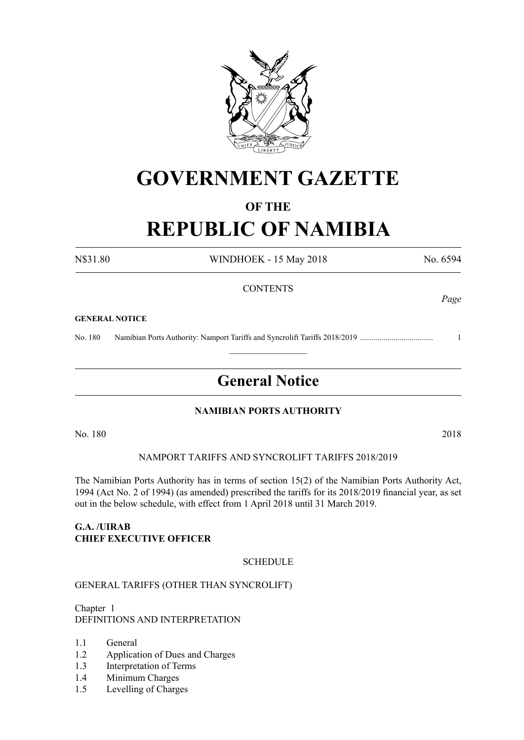

# **GOVERNMENT GAZETTE**

#### **OF THE**

# **REPUBLIC OF NAMIBIA**

N\$31.80 WINDHOEK - 15 May 2018 No. 6594

#### **CONTENTS**

#### **GENERAL NOTICE**

No. 180 Namibian Ports Authority: Namport Tariffs and Syncrolift Tariffs 2018/2019 ..................................... 1

## **General Notice**

 $\frac{1}{2}$ 

#### **NAMIBIAN PORTS AUTHORITY**

No. 180 2018

#### Namport tariffs and Syncrolift tariffs 2018/2019

The Namibian Ports Authority has in terms of section 15(2) of the Namibian Ports Authority Act, 1994 (Act No. 2 of 1994) (as amended) prescribed the tariffs for its 2018/2019 financial year, as set out in the below schedule, with effect from 1 April 2018 until 31 March 2019.

#### **G.A. /UIRAB CHIEF EXECUTIVE OFFICER**

#### **SCHEDULE**

#### GENERAL TARIFFS (OTHER THAN SYNCROLIFT)

Chapter 1 DEFINITIONS AND INTERPRETATION

- 1.1 General
- 1.2 Application of Dues and Charges
- 1.3 Interpretation of Terms
- 1.4 Minimum Charges
- 1.5 Levelling of Charges

*Page*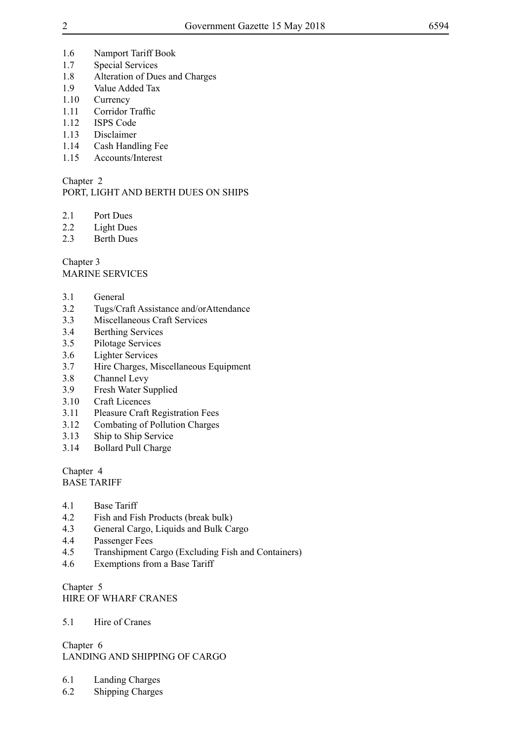- 1.6 Namport Tariff Book
- 1.7 Special Services
- 1.8 Alteration of Dues and Charges
- 1.9 Value Added Tax
- 1.10 Currency
- 1.11 Corridor Traffic
- 1.12 ISPS Code
- 1.13 Disclaimer
- 1.14 Cash Handling Fee
- 1.15 Accounts/Interest

#### Chapter 2

### PORT, LIGHT AND BERTH DUES ON SHIPS

- 2.1 Port Dues
- 2.2 Light Dues
- 2.3 Berth Dues

Chapter 3 MARINE SERVICES

- 3.1 General
- 3.2 Tugs/Craft Assistance and/orAttendance
- 3.3 Miscellaneous Craft Services
- 3.4 Berthing Services
- 3.5 Pilotage Services
- 3.6 Lighter Services
- 3.7 Hire Charges, Miscellaneous Equipment
- 3.8 Channel Levy
- 3.9 Fresh Water Supplied
- 3.10 Craft Licences
- 3.11 Pleasure Craft Registration Fees
- 3.12 Combating of Pollution Charges
- 3.13 Ship to Ship Service
- 3.14 Bollard Pull Charge

#### Chapter 4 BASE TARIFF

- 4.1 Base Tariff
- 4.2 Fish and Fish Products (break bulk)
- 4.3 General Cargo, Liquids and Bulk Cargo
- 4.4 Passenger Fees
- 4.5 Transhipment Cargo (Excluding Fish and Containers)
- 4.6 Exemptions from a Base Tariff

Chapter 5 HIRE OF WHARF CRANES

#### 5.1 Hire of Cranes

Chapter 6 LANDING AND SHIPPING OF CARGO

- 6.1 Landing Charges
- 6.2 Shipping Charges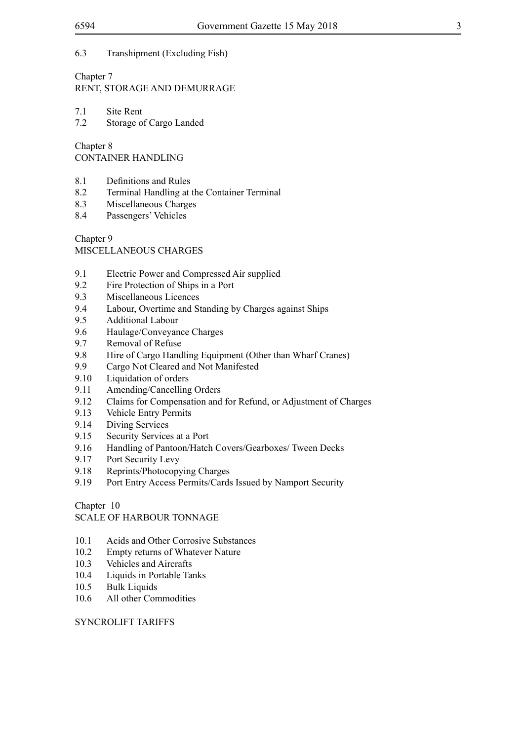#### 6.3 Transhipment (Excluding Fish)

### Chapter 7

RENT, STORAGE AND DEMURRAGE

7.1 Site Rent<br>7.2 Storage of

Storage of Cargo Landed

Chapter 8

CONTAINER HANDLING

- 8.1 Definitions and Rules
- 8.2 Terminal Handling at the Container Terminal
- 8.3 Miscellaneous Charges
- 8.4 Passengers' Vehicles

Chapter 9

MISCELLANEOUS CHARGES

- 9.1 Electric Power and Compressed Air supplied
- 9.2 Fire Protection of Ships in a Port
- 9.3 Miscellaneous Licences
- 9.4 Labour, Overtime and Standing by Charges against Ships
- 9.5 Additional Labour
- 9.6 Haulage/Conveyance Charges
- 9.7 Removal of Refuse
- 9.8 Hire of Cargo Handling Equipment (Other than Wharf Cranes)
- 9.9 Cargo Not Cleared and Not Manifested
- 9.10 Liquidation of orders
- 9.11 Amending/Cancelling Orders
- 9.12 Claims for Compensation and for Refund, or Adjustment of Charges
- 9.13 Vehicle Entry Permits
- 9.14 Diving Services
- 9.15 Security Services at a Port
- 9.16 Handling of Pantoon/Hatch Covers/Gearboxes/ Tween Decks
- 9.17 Port Security Levy
- 9.18 Reprints/Photocopying Charges
- 9.19 Port Entry Access Permits/Cards Issued by Namport Security

Chapter 10

SCALE OF HARBOUR TONNAGE

- 10.1 Acids and Other Corrosive Substances
- 10.2 Empty returns of Whatever Nature
- 10.3 Vehicles and Aircrafts
- 10.4 Liquids in Portable Tanks
- 10.5 Bulk Liquids
- 10.6 All other Commodities

#### SYNCROLIFT TARIFFS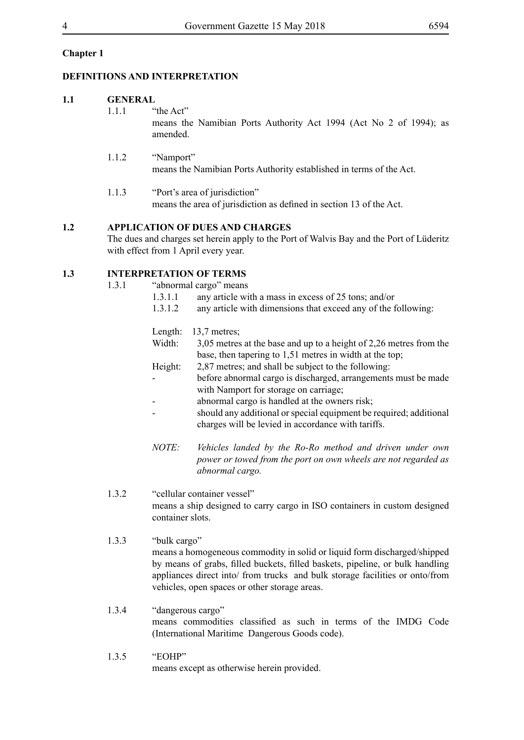#### **Chapter 1**

#### **DEFINITIONS AND INTERPRETATION**

#### **1.1 GENERAL**

- 1.1.1 "the Act" means the Namibian Ports Authority Act 1994 (Act No 2 of 1994); as amended.
- 1.1.2 "Namport" means the Namibian Ports Authority established in terms of the Act.
- 1.1.3 "Port's area of jurisdiction" means the area of jurisdiction as defined in section 13 of the Act.

#### **1.2 APPLICATION OF DUES AND CHARGES**

The dues and charges set herein apply to the Port of Walvis Bay and the Port of Lüderitz with effect from 1 April every year.

#### **1.3 INTERPRETATION OF TERMS**

1.3.1 "abnormal cargo" means

| 1.3.1.1 |  | any article with a mass in excess of 25 tons; and/or |  |
|---------|--|------------------------------------------------------|--|
| .       |  |                                                      |  |

1.3.1.2 any article with dimensions that exceed any of the following:

|         | Length: $13.7$ metres;                                             |
|---------|--------------------------------------------------------------------|
| Width:  | 3,05 metres at the base and up to a height of 2,26 metres from the |
|         | base, then tapering to 1,51 metres in width at the top;            |
| Height: | 2,87 metres; and shall be subject to the following:                |

- before abnormal cargo is discharged, arrangements must be made with Namport for storage on carriage;
- abnormal cargo is handled at the owners risk;
- should any additional or special equipment be required; additional charges will be levied in accordance with tariffs.
- *NOTE: Vehicles landed by the Ro-Ro method and driven under own power or towed from the port on own wheels are not regarded as abnormal cargo.*
- 1.3.2 "cellular container vessel" means a ship designed to carry cargo in ISO containers in custom designed container slots.
- 1.3.3 "bulk cargo" means a homogeneous commodity in solid or liquid form discharged/shipped by means of grabs, filled buckets, filled baskets, pipeline, or bulk handling appliances direct into/ from trucks and bulk storage facilities or onto/from vehicles, open spaces or other storage areas.
- 1.3.4 "dangerous cargo" means commodities classified as such in terms of the IMDG Code (International Maritime Dangerous Goods code).
- 1.3.5 "EOHP" means except as otherwise herein provided.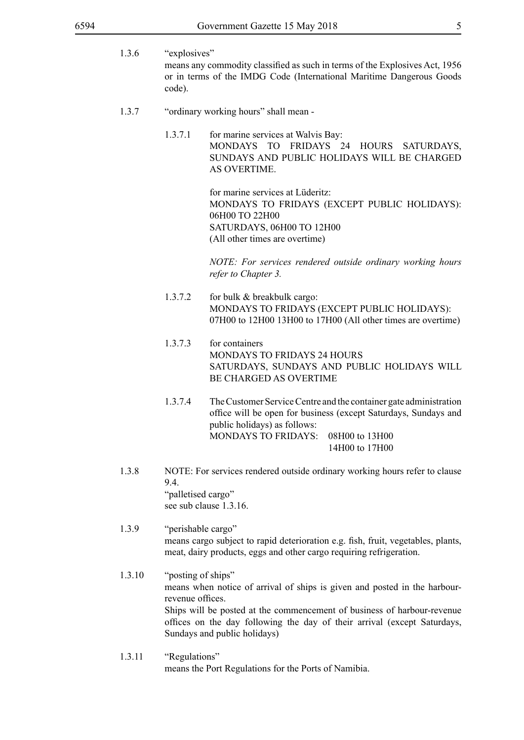- 1.3.6 "explosives" means any commodity classified as such in terms of the Explosives Act, 1956 or in terms of the IMDG Code (International Maritime Dangerous Goods code).
- 1.3.7 "ordinary working hours" shall mean
	- 1.3.7.1 for marine services at Walvis Bay: MONDAYS TO FRIDAYS 24 HOURS SATURDAYS, SUNDAYS AND PUBLIC HOLIDAYS WILL BE CHARGED AS OVERTIME.

for marine services at Lüderitz: MONDAYS TO FRIDAYS (EXCEPT PUBLIC HOLIDAYS): 06H00 TO 22H00 SATURDAYS, 06H00 TO 12H00 (All other times are overtime)

*NOTE: For services rendered outside ordinary working hours refer to Chapter 3.*

- 1.3.7.2 for bulk & breakbulk cargo: MONDAYS TO FRIDAYS (EXCEPT PUBLIC HOLIDAYS): 07H00 to 12H00 13H00 to 17H00 (All other times are overtime)
- 1.3.7.3 for containers MONDAYS TO FRIDAYS 24 HOURS SATURDAYS, SUNDAYS AND PUBLIC HOLIDAYS WILL BE CHARGED AS OVERTIME
- 1.3.7.4 The Customer Service Centre and the container gate administration office will be open for business (except Saturdays, Sundays and public holidays) as follows: MONDAYS TO FRIDAYS: 08H00 to 13H00 14H00 to 17H00
- 1.3.8 NOTE: For services rendered outside ordinary working hours refer to clause 9.4. "palletised cargo" see sub clause 1.3.16.
- 1.3.9 "perishable cargo" means cargo subject to rapid deterioration e.g. fish, fruit, vegetables, plants, meat, dairy products, eggs and other cargo requiring refrigeration.
- 1.3.10 "posting of ships" means when notice of arrival of ships is given and posted in the harbourrevenue offices. Ships will be posted at the commencement of business of harbour-revenue offices on the day following the day of their arrival (except Saturdays, Sundays and public holidays)
- 1.3.11 "Regulations" means the Port Regulations for the Ports of Namibia.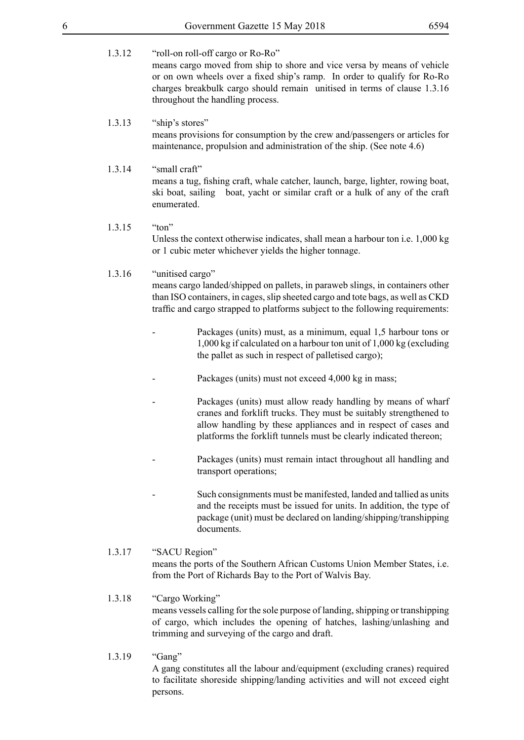- 
- 1.3.12 "roll-on roll-off cargo or Ro-Ro" means cargo moved from ship to shore and vice versa by means of vehicle or on own wheels over a fixed ship's ramp. In order to qualify for Ro-Ro charges breakbulk cargo should remain unitised in terms of clause 1.3.16 throughout the handling process.

#### 1.3.13 "ship's stores"

means provisions for consumption by the crew and/passengers or articles for maintenance, propulsion and administration of the ship. (See note 4.6)

- 1.3.14 "small craft" means a tug, fishing craft, whale catcher, launch, barge, lighter, rowing boat, ski boat, sailing boat, yacht or similar craft or a hulk of any of the craft enumerated.
- 1.3.15 "ton" Unless the context otherwise indicates, shall mean a harbour ton i.e. 1,000 kg or 1 cubic meter whichever yields the higher tonnage.

#### 1.3.16 "unitised cargo"

means cargo landed/shipped on pallets, in paraweb slings, in containers other than ISO containers, in cages, slip sheeted cargo and tote bags, as well as CKD traffic and cargo strapped to platforms subject to the following requirements:

- Packages (units) must, as a minimum, equal 1,5 harbour tons or 1,000 kg if calculated on a harbour ton unit of 1,000 kg (excluding the pallet as such in respect of palletised cargo);
- Packages (units) must not exceed 4,000 kg in mass;
- Packages (units) must allow ready handling by means of wharf cranes and forklift trucks. They must be suitably strengthened to allow handling by these appliances and in respect of cases and platforms the forklift tunnels must be clearly indicated thereon;
- Packages (units) must remain intact throughout all handling and transport operations;
- Such consignments must be manifested, landed and tallied as units and the receipts must be issued for units. In addition, the type of package (unit) must be declared on landing/shipping/transhipping documents.
- 1.3.17 "SACU Region" means the ports of the Southern African Customs Union Member States, i.e. from the Port of Richards Bay to the Port of Walvis Bay.

#### 1.3.18 "Cargo Working" means vessels calling for the sole purpose of landing, shipping or transhipping of cargo, which includes the opening of hatches, lashing/unlashing and trimming and surveying of the cargo and draft.

1.3.19 "Gang" A gang constitutes all the labour and/equipment (excluding cranes) required to facilitate shoreside shipping/landing activities and will not exceed eight persons.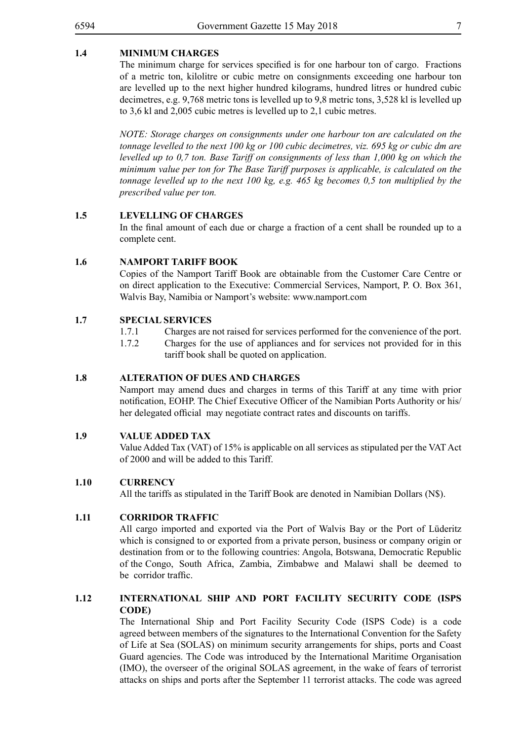#### **1.4 MINIMUM CHARGES**

 The minimum charge for services specified is for one harbour ton of cargo. Fractions of a metric ton, kilolitre or cubic metre on consignments exceeding one harbour ton are levelled up to the next higher hundred kilograms, hundred litres or hundred cubic decimetres, e.g. 9,768 metric tons is levelled up to 9,8 metric tons, 3,528 kl is levelled up to 3,6 kl and 2,005 cubic metres is levelled up to 2,1 cubic metres.

*NOTE: Storage charges on consignments under one harbour ton are calculated on the tonnage levelled to the next 100 kg or 100 cubic decimetres, viz. 695 kg or cubic dm are levelled up to 0,7 ton. Base Tariff on consignments of less than 1,000 kg on which the minimum value per ton for The Base Tariff purposes is applicable, is calculated on the tonnage levelled up to the next 100 kg, e.g. 465 kg becomes 0,5 ton multiplied by the prescribed value per ton.*

#### **1.5 LEVELLING OF CHARGES**

In the final amount of each due or charge a fraction of a cent shall be rounded up to a complete cent.

#### **1.6 NAMPORT TARIFF BOOK**

Copies of the Namport Tariff Book are obtainable from the Customer Care Centre or on direct application to the Executive: Commercial Services, Namport, P. O. Box 361, Walvis Bay, Namibia or Namport's website: www.namport.com

#### **1.7 SPECIAL SERVICES**

- 1.7.1 Charges are not raised for services performed for the convenience of the port.
- 1.7.2 Charges for the use of appliances and for services not provided for in this tariff book shall be quoted on application.

#### **1.8 ALTERATION OF DUES AND CHARGES**

Namport may amend dues and charges in terms of this Tariff at any time with prior notification, EOHP. The Chief Executive Officer of the Namibian Ports Authority or his/ her delegated official may negotiate contract rates and discounts on tariffs.

#### **1.9 VALUE ADDED TAX**

Value Added Tax (VAT) of 15% is applicable on all services as stipulated per the VAT Act of 2000 and will be added to this Tariff.

#### **1.10 CURRENCY**

All the tariffs as stipulated in the Tariff Book are denoted in Namibian Dollars (N\$).

#### **1.11 CORRIDOR TRAFFIC**

All cargo imported and exported via the Port of Walvis Bay or the Port of Lüderitz which is consigned to or exported from a private person, business or company origin or destination from or to the following countries: Angola, Botswana, Democratic Republic of the Congo, South Africa, Zambia, Zimbabwe and Malawi shall be deemed to be corridor traffic.

#### **1.12 INTERNATIONAL SHIP AND PORT FACILITY SECURITY CODE (ISPS CODE)**

The International Ship and Port Facility Security Code (ISPS Code) is a code agreed between members of the signatures to the International Convention for the Safety of Life at Sea (SOLAS) on minimum security arrangements for ships, ports and Coast Guard agencies. The Code was introduced by the International Maritime Organisation (IMO), the overseer of the original SOLAS agreement, in the wake of fears of terrorist attacks on ships and ports after the September 11 terrorist attacks. The code was agreed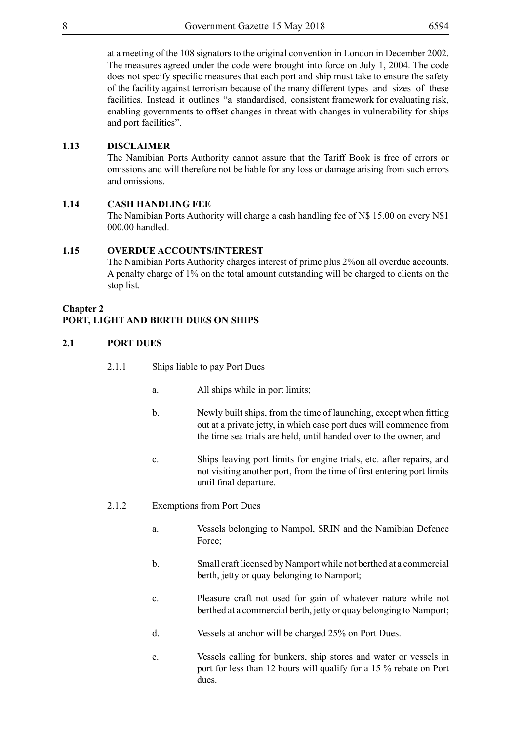at a meeting of the 108 signators to the original convention in London in December 2002. The measures agreed under the code were brought into force on July 1, 2004. The code does not specify specific measures that each port and ship must take to ensure the safety of the facility against terrorism because of the many different types and sizes of these facilities. Instead it outlines "a standardised, consistent framework for evaluating risk, enabling governments to offset changes in threat with changes in vulnerability for ships and port facilities".

#### **1.13 DISCLAIMER**

The Namibian Ports Authority cannot assure that the Tariff Book is free of errors or omissions and will therefore not be liable for any loss or damage arising from such errors and omissions.

#### **1.14 CASH HANDLING FEE**

The Namibian Ports Authority will charge a cash handling fee of N\$ 15.00 on every N\$1 000.00 handled.

#### **1.15 OVERDUE ACCOUNTS/INTEREST**

The Namibian Ports Authority charges interest of prime plus 2%on all overdue accounts. A penalty charge of 1% on the total amount outstanding will be charged to clients on the stop list.

#### **Chapter 2**

#### **PORT, LIGHT AND BERTH DUES ON SHIPS**

#### **2.1 PORT DUES**

- 2.1.1 Ships liable to pay Port Dues
	- a. All ships while in port limits;
	- b. Newly built ships, from the time of launching, except when fitting out at a private jetty, in which case port dues will commence from the time sea trials are held, until handed over to the owner, and
	- c. Ships leaving port limits for engine trials, etc. after repairs, and not visiting another port, from the time of first entering port limits until final departure.
- 2.1.2 Exemptions from Port Dues
	- a. Vessels belonging to Nampol, SRIN and the Namibian Defence Force:
	- b. Small craft licensed by Namport while not berthed at a commercial berth, jetty or quay belonging to Namport;
	- c. Pleasure craft not used for gain of whatever nature while not berthed at a commercial berth, jetty or quay belonging to Namport;
	- d. Vessels at anchor will be charged 25% on Port Dues.
	- e. Vessels calling for bunkers, ship stores and water or vessels in port for less than 12 hours will qualify for a 15 % rebate on Port dues.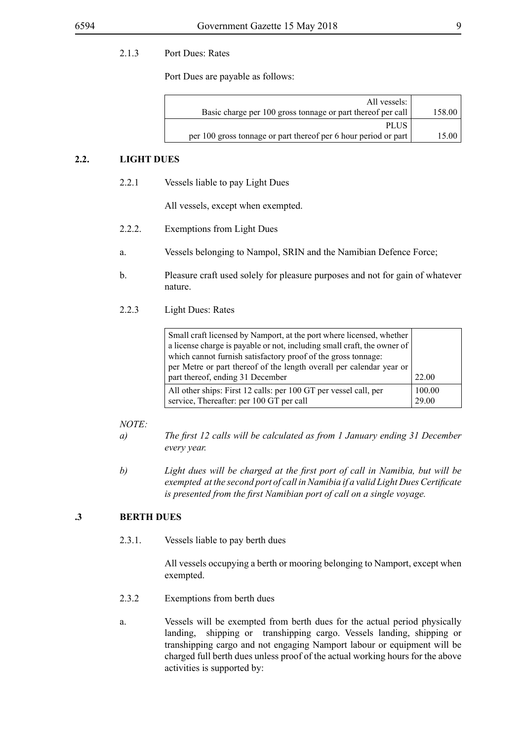#### 2.1.3 Port Dues: Rates

Port Dues are payable as follows:

| All vessels:                                                    |        |
|-----------------------------------------------------------------|--------|
| Basic charge per 100 gross tonnage or part thereof per call     | 158.00 |
| <b>PLUS</b>                                                     |        |
| per 100 gross tonnage or part thereof per 6 hour period or part | 15.00  |

#### **2.2. LIGHT DUES**

2.2.1 Vessels liable to pay Light Dues

All vessels, except when exempted.

- 2.2.2. Exemptions from Light Dues
- a. Vessels belonging to Nampol, SRIN and the Namibian Defence Force;
- b. Pleasure craft used solely for pleasure purposes and not for gain of whatever nature.
- 2.2.3 Light Dues: Rates

| Small craft licensed by Namport, at the port where licensed, whether<br>a license charge is payable or not, including small craft, the owner of<br>which cannot furnish satisfactory proof of the gross tonnage: |                 |
|------------------------------------------------------------------------------------------------------------------------------------------------------------------------------------------------------------------|-----------------|
| per Metre or part thereof of the length overall per calendar year or<br>part thereof, ending 31 December                                                                                                         | 22.00           |
| All other ships: First 12 calls: per 100 GT per vessel call, per<br>service, Thereafter: per 100 GT per call                                                                                                     | 100.00<br>29.00 |

#### *NOTE:*

- *a) The first 12 calls will be calculated as from 1 January ending 31 December every year.*
- *b) Light dues will be charged at the first port of call in Namibia, but will be exempted at the second port of call in Namibia if a valid Light Dues Certificate is presented from the first Namibian port of call on a single voyage.*

#### **.3 BERTH DUES**

2.3.1. Vessels liable to pay berth dues

All vessels occupying a berth or mooring belonging to Namport, except when exempted.

- 2.3.2 Exemptions from berth dues
- a. Vessels will be exempted from berth dues for the actual period physically landing, shipping or transhipping cargo. Vessels landing, shipping or transhipping cargo and not engaging Namport labour or equipment will be charged full berth dues unless proof of the actual working hours for the above activities is supported by: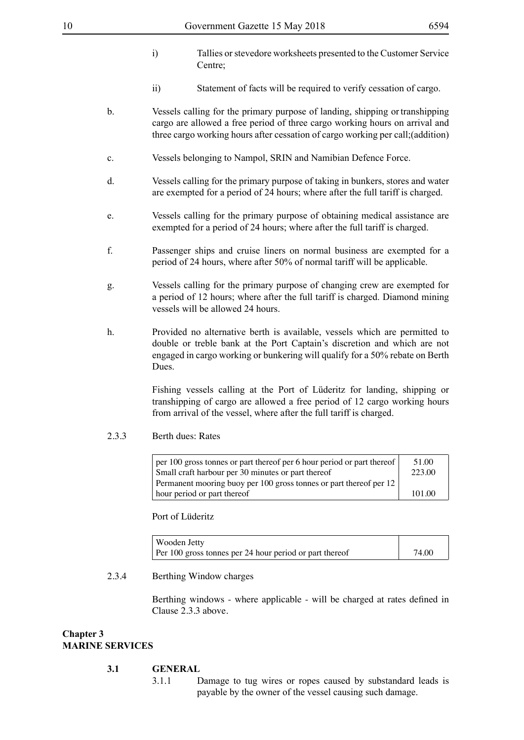- i) Tallies or stevedore worksheets presented to the Customer Service Centre<sup>:</sup>
- ii) Statement of facts will be required to verify cessation of cargo.
- b. Vessels calling for the primary purpose of landing, shipping or transhipping cargo are allowed a free period of three cargo working hours on arrival and three cargo working hours after cessation of cargo working per call;(addition)
- c. Vessels belonging to Nampol, SRIN and Namibian Defence Force.
- d. Vessels calling for the primary purpose of taking in bunkers, stores and water are exempted for a period of 24 hours; where after the full tariff is charged.
- e. Vessels calling for the primary purpose of obtaining medical assistance are exempted for a period of 24 hours; where after the full tariff is charged.
- f. Passenger ships and cruise liners on normal business are exempted for a period of 24 hours, where after 50% of normal tariff will be applicable.
- g. Vessels calling for the primary purpose of changing crew are exempted for a period of 12 hours; where after the full tariff is charged. Diamond mining vessels will be allowed 24 hours.
- h. Provided no alternative berth is available, vessels which are permitted to double or treble bank at the Port Captain's discretion and which are not engaged in cargo working or bunkering will qualify for a 50% rebate on Berth Dues.

Fishing vessels calling at the Port of Lüderitz for landing, shipping or transhipping of cargo are allowed a free period of 12 cargo working hours from arrival of the vessel, where after the full tariff is charged.

2.3.3 Berth dues: Rates

| $\vert$ per 100 gross tonnes or part thereof per 6 hour period or part thereof $\vert$ | 51.00  |
|----------------------------------------------------------------------------------------|--------|
| Small craft harbour per 30 minutes or part thereof                                     | 223.00 |
| Permanent mooring buoy per 100 gross tonnes or part thereof per 12                     |        |
| hour period or part thereof                                                            | 101.00 |

Port of Lüderitz

| Wooden Jetty                                            |       |
|---------------------------------------------------------|-------|
| Per 100 gross tonnes per 24 hour period or part thereof | 74.00 |

#### 2.3.4 Berthing Window charges

Berthing windows - where applicable - will be charged at rates defined in Clause 2.3.3 above.

#### **Chapter 3 MARINE SERVICES**

#### **3.1 GENERAL**

3.1.1 Damage to tug wires or ropes caused by substandard leads is payable by the owner of the vessel causing such damage.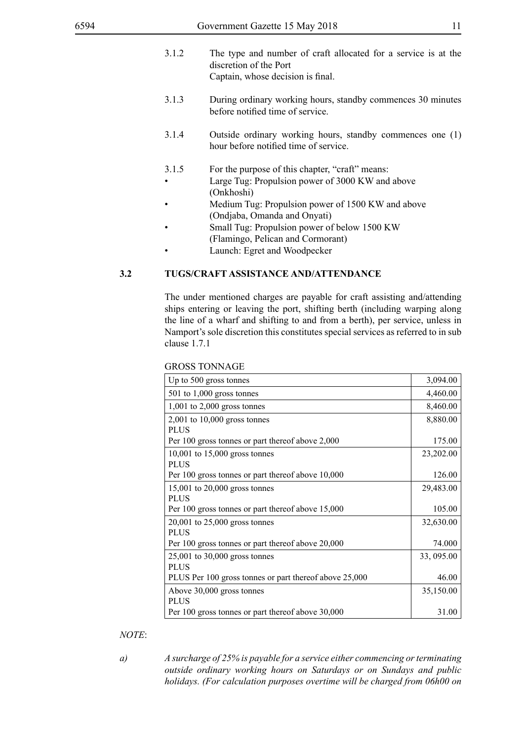| 3.1.2              | The type and number of craft allocated for a service is at the<br>discretion of the Port<br>Captain, whose decision is final. |
|--------------------|-------------------------------------------------------------------------------------------------------------------------------|
| 3.1.3              | During ordinary working hours, standby commences 30 minutes<br>before notified time of service.                               |
| 3.1.4              | Outside ordinary working hours, standby commences one (1)<br>hour before notified time of service.                            |
| 3.1.5<br>$\bullet$ | For the purpose of this chapter, "craft" means:<br>Large Tug: Propulsion power of 3000 KW and above<br>(Onkhoshi)             |
| $\bullet$          | Medium Tug: Propulsion power of 1500 KW and above                                                                             |
|                    | (Ondjaba, Omanda and Onyati)                                                                                                  |
| $\bullet$          | Small Tug: Propulsion power of below 1500 KW                                                                                  |
|                    | (Flamingo, Pelican and Cormorant)                                                                                             |

Launch: Egret and Woodpecker

#### **3.2 TUGS/CRAFT ASSISTANCE AND/ATTENDANCE**

The under mentioned charges are payable for craft assisting and/attending ships entering or leaving the port, shifting berth (including warping along the line of a wharf and shifting to and from a berth), per service, unless in Namport's sole discretion this constitutes special services as referred to in sub clause 1.7.1

| Up to 500 gross tonnes                                 | 3,094.00   |
|--------------------------------------------------------|------------|
| $501$ to $1,000$ gross tonnes                          | 4,460.00   |
| $1,001$ to $2,000$ gross tonnes                        | 8,460.00   |
| $2,001$ to $10,000$ gross tonnes                       | 8,880.00   |
| <b>PLUS</b>                                            |            |
| Per 100 gross tonnes or part thereof above 2,000       | 175.00     |
| $10,001$ to $15,000$ gross tonnes                      | 23,202.00  |
| <b>PLUS</b>                                            |            |
| Per 100 gross tonnes or part thereof above 10,000      | 126.00     |
| 15,001 to 20,000 gross tonnes                          | 29,483.00  |
| <b>PLUS</b>                                            |            |
| Per 100 gross tonnes or part thereof above 15,000      | 105.00     |
| 20,001 to 25,000 gross tonnes                          | 32,630.00  |
| <b>PLUS</b>                                            |            |
| Per 100 gross tonnes or part thereof above 20,000      | 74.000     |
| $25,001$ to 30,000 gross tonnes                        | 33, 095.00 |
| <b>PLUS</b>                                            |            |
| PLUS Per 100 gross tonnes or part thereof above 25,000 | 46.00      |
| Above 30,000 gross tonnes                              | 35,150.00  |
| <b>PLUS</b>                                            |            |
| Per 100 gross tonnes or part thereof above 30,000      | 31.00      |

#### *NOTE*:

*a) A surcharge of 25% is payable for a service either commencing or terminating outside ordinary working hours on Saturdays or on Sundays and public holidays. (For calculation purposes overtime will be charged from 06h00 on*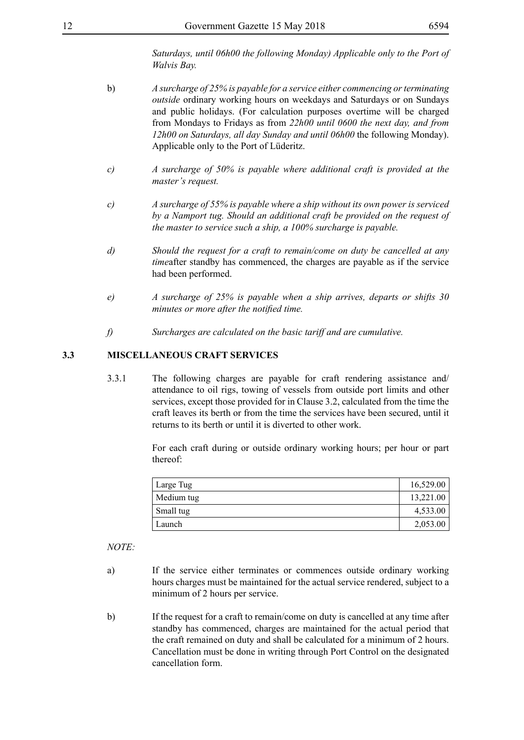*Saturdays, until 06h00 the following Monday) Applicable only to the Port of Walvis Bay.*

- b) *A surcharge of 25% is payable for a service either commencing or terminating outside* ordinary working hours on weekdays and Saturdays or on Sundays and public holidays. (For calculation purposes overtime will be charged from Mondays to Fridays as from *22h00 until 0600 the next day, and from 12h00 on Saturdays, all day Sunday and until 06h00* the following Monday). Applicable only to the Port of Lüderitz.
- *c) A surcharge of 50% is payable where additional craft is provided at the master's request.*
- *c) A surcharge of 55% is payable where a ship without its own power is serviced by a Namport tug. Should an additional craft be provided on the request of the master to service such a ship, a 100% surcharge is payable.*
- *d) Should the request for a craft to remain/come on duty be cancelled at any time*after standby has commenced, the charges are payable as if the service had been performed.
- *e) A surcharge of 25% is payable when a ship arrives, departs or shifts 30 minutes or more after the notified time.*
- *f) Surcharges are calculated on the basic tariff and are cumulative.*

#### **3.3 MISCELLANEOUS CRAFT SERVICES**

3.3.1 The following charges are payable for craft rendering assistance and/ attendance to oil rigs, towing of vessels from outside port limits and other services, except those provided for in Clause 3.2, calculated from the time the craft leaves its berth or from the time the services have been secured, until it returns to its berth or until it is diverted to other work.

> For each craft during or outside ordinary working hours; per hour or part thereof:

| Large Tug  | 16,529.00 |
|------------|-----------|
| Medium tug | 13,221.00 |
| Small tug  | 4,533.00  |
| Launch     | 2,053.00  |

- a) If the service either terminates or commences outside ordinary working hours charges must be maintained for the actual service rendered, subject to a minimum of 2 hours per service.
- b) If the request for a craft to remain/come on duty is cancelled at any time after standby has commenced, charges are maintained for the actual period that the craft remained on duty and shall be calculated for a minimum of 2 hours. Cancellation must be done in writing through Port Control on the designated cancellation form.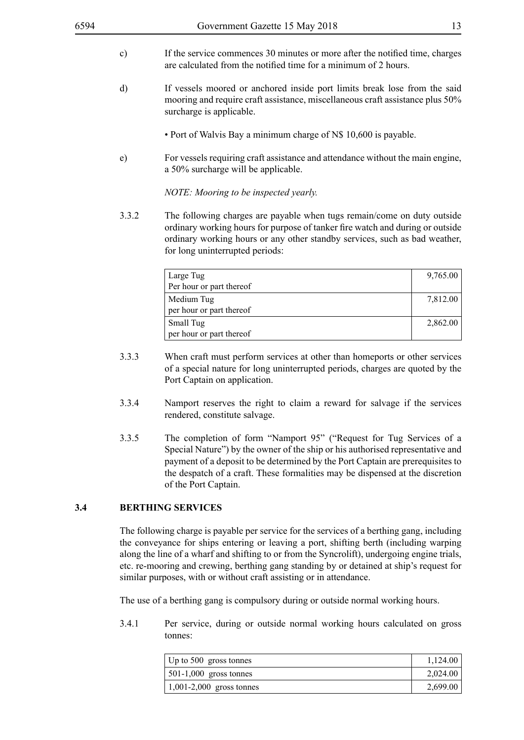- c) If the service commences 30 minutes or more after the notified time, charges are calculated from the notified time for a minimum of 2 hours.
- d) If vessels moored or anchored inside port limits break lose from the said mooring and require craft assistance, miscellaneous craft assistance plus 50% surcharge is applicable.
	- Port of Walvis Bay a minimum charge of N\$ 10,600 is payable.
- e) For vessels requiring craft assistance and attendance without the main engine, a 50% surcharge will be applicable.

*NOTE: Mooring to be inspected yearly.*

3.3.2 The following charges are payable when tugs remain/come on duty outside ordinary working hours for purpose of tanker fire watch and during or outside ordinary working hours or any other standby services, such as bad weather, for long uninterrupted periods:

| Large Tug<br>Per hour or part thereof  | 9,765.00 |
|----------------------------------------|----------|
| Medium Tug<br>per hour or part thereof | 7,812.00 |
| Small Tug<br>per hour or part thereof  | 2,862.00 |

- 3.3.3 When craft must perform services at other than homeports or other services of a special nature for long uninterrupted periods, charges are quoted by the Port Captain on application.
- 3.3.4 Namport reserves the right to claim a reward for salvage if the services rendered, constitute salvage.
- 3.3.5 The completion of form "Namport 95" ("Request for Tug Services of a Special Nature") by the owner of the ship or his authorised representative and payment of a deposit to be determined by the Port Captain are prerequisites to the despatch of a craft. These formalities may be dispensed at the discretion of the Port Captain.

#### **3.4 BERTHING SERVICES**

The following charge is payable per service for the services of a berthing gang, including the conveyance for ships entering or leaving a port, shifting berth (including warping along the line of a wharf and shifting to or from the Syncrolift), undergoing engine trials, etc. re-mooring and crewing, berthing gang standing by or detained at ship's request for similar purposes, with or without craft assisting or in attendance.

The use of a berthing gang is compulsory during or outside normal working hours.

3.4.1 Per service, during or outside normal working hours calculated on gross tonnes:

| $\vert$ Up to 500 gross tonnes | 1,124.00 |
|--------------------------------|----------|
| $\vert$ 501-1,000 gross tonnes | 2,024.00 |
| $ 1,001-2,000 $ gross tonnes   | 2,699.00 |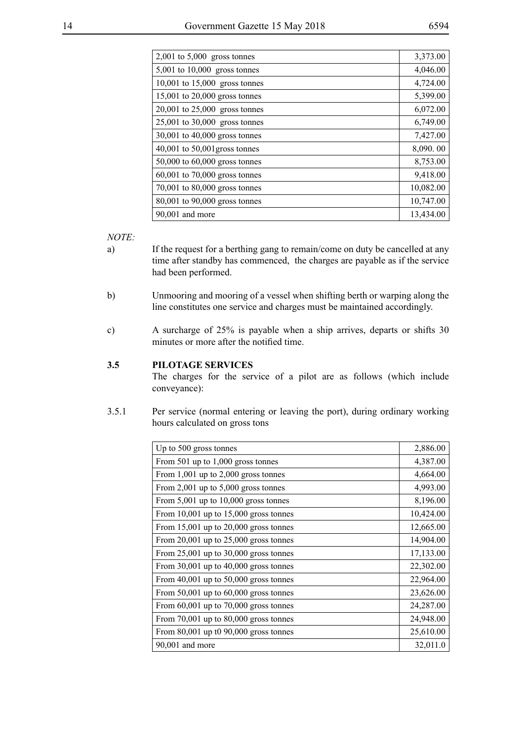| I<br>I<br>۰, |
|--------------|
|--------------|

| $2,001$ to $5,000$ gross tonnes   | 3,373.00  |
|-----------------------------------|-----------|
| 5,001 to 10,000 gross tonnes      | 4,046.00  |
| $10,001$ to $15,000$ gross tonnes | 4,724.00  |
| 15,001 to 20,000 gross tonnes     | 5,399.00  |
| 20,001 to 25,000 gross tonnes     | 6,072.00  |
| 25,001 to 30,000 gross tonnes     | 6,749.00  |
| 30,001 to 40,000 gross tonnes     | 7,427.00  |
| $40,001$ to $50,001$ gross tonnes | 8,090.00  |
| 50,000 to 60,000 gross tonnes     | 8,753.00  |
| 60,001 to 70,000 gross tonnes     | 9,418.00  |
| 70,001 to 80,000 gross tonnes     | 10,082.00 |
| 80,001 to 90,000 gross tonnes     | 10,747.00 |
| $90,001$ and more                 | 13,434.00 |

*NOTE:*

- a) If the request for a berthing gang to remain/come on duty be cancelled at any time after standby has commenced, the charges are payable as if the service had been performed.
- b) Unmooring and mooring of a vessel when shifting berth or warping along the line constitutes one service and charges must be maintained accordingly.
- c) A surcharge of 25% is payable when a ship arrives, departs or shifts 30 minutes or more after the notified time.

#### **3.5 PILOTAGE SERVICES**

The charges for the service of a pilot are as follows (which include conveyance):

3.5.1 Per service (normal entering or leaving the port), during ordinary working hours calculated on gross tons

| Up to 500 gross tonnes                    | 2,886.00  |
|-------------------------------------------|-----------|
| From 501 up to 1,000 gross tonnes         | 4,387.00  |
| From $1,001$ up to $2,000$ gross tonnes   | 4,664.00  |
| From 2,001 up to $5,000$ gross tonnes     | 4,993.00  |
| From $5,001$ up to $10,000$ gross tonnes  | 8,196.00  |
| From 10,001 up to $15,000$ gross tonnes   | 10,424.00 |
| From $15,001$ up to $20,000$ gross tonnes | 12,665.00 |
| From $20,001$ up to $25,000$ gross tonnes | 14,904.00 |
| From $25,001$ up to $30,000$ gross tonnes | 17,133.00 |
| From $30,001$ up to $40,000$ gross tonnes | 22,302.00 |
| From $40,001$ up to $50,000$ gross tonnes | 22,964.00 |
| From $50,001$ up to $60,000$ gross tonnes | 23,626.00 |
| From $60,001$ up to $70,000$ gross tonnes | 24,287.00 |
| From $70,001$ up to $80,000$ gross tonnes | 24,948.00 |
| From $80,001$ up t0 $90,000$ gross tonnes | 25,610.00 |
| 90,001 and more                           | 32,011.0  |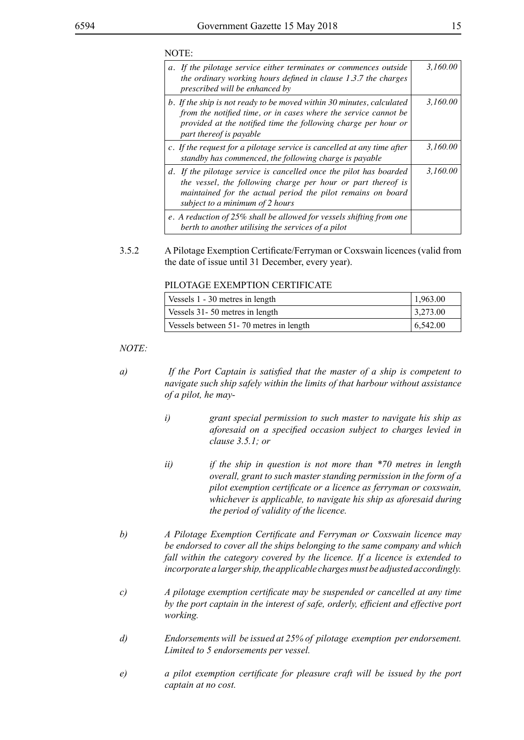#### NOTE:

| a. If the pilotage service either terminates or commences outside<br>the ordinary working hours defined in clause 1.3.7 the charges<br>prescribed will be enhanced by                                                                 | 3,160.00 |
|---------------------------------------------------------------------------------------------------------------------------------------------------------------------------------------------------------------------------------------|----------|
| b. If the ship is not ready to be moved within 30 minutes, calculated<br>from the notified time, or in cases where the service cannot be<br>provided at the notified time the following charge per hour or<br>part thereof is payable | 3,160.00 |
| c. If the request for a pilotage service is cancelled at any time after<br>standby has commenced, the following charge is payable                                                                                                     | 3,160.00 |
| d. If the pilotage service is cancelled once the pilot has boarded<br>the vessel, the following charge per hour or part thereof is<br>maintained for the actual period the pilot remains on board<br>subject to a minimum of 2 hours  | 3,160.00 |
| e. A reduction of 25% shall be allowed for vessels shifting from one<br>berth to another utilising the services of a pilot                                                                                                            |          |

3.5.2 A Pilotage Exemption Certificate/Ferryman or Coxswain licences (valid from the date of issue until 31 December, every year).

#### PILOTAGE EXEMPTION CERTIFICATE

| Vessels 1 - 30 metres in length        | 1,963.00 |
|----------------------------------------|----------|
| Vessels 31-50 metres in length         | 3,273.00 |
| Vessels between 51-70 metres in length | 6,542.00 |

- *a) If the Port Captain is satisfied that the master of a ship is competent to navigate such ship safely within the limits of that harbour without assistance of a pilot, he may*
	- *i) grant special permission to such master to navigate his ship as aforesaid on a specified occasion subject to charges levied in clause 3.5.1; or*
	- *ii) if the ship in question is not more than \*70 metres in length overall, grant to such master standing permission in the form of a pilot exemption certificate or a licence as ferryman or coxswain, whichever is applicable, to navigate his ship as aforesaid during the period of validity of the licence.*
- *b) A Pilotage Exemption Certificate and Ferryman or Coxswain licence may be endorsed to cover all the ships belonging to the same company and which fall within the category covered by the licence. If a licence is extended to incorporate a larger ship, the applicable charges must be adjusted accordingly.*
- *c) A pilotage exemption certificate may be suspended or cancelled at any time by the port captain in the interest of safe, orderly, efficient and effective port working.*
- *d) Endorsements will be issued at 25% of pilotage exemption per endorsement. Limited to 5 endorsements per vessel.*
- *e) a pilot exemption certificate for pleasure craft will be issued by the port captain at no cost.*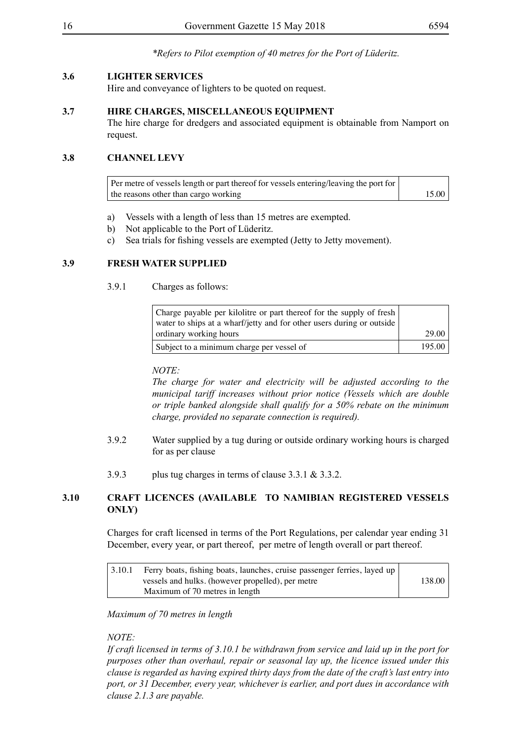*\*Refers to Pilot exemption of 40 metres for the Port of Lüderitz.*

#### **3.6 LIGHTER SERVICES**

Hire and conveyance of lighters to be quoted on request.

#### **3.7 HIRE CHARGES, MISCELLANEOUS EQUIPMENT**

The hire charge for dredgers and associated equipment is obtainable from Namport on request.

#### **3.8 CHANNEL LEVY**

Per metre of vessels length or part thereof for vessels entering/leaving the port for the reasons other than cargo working 15.00

- a) Vessels with a length of less than 15 metres are exempted.
- b) Not applicable to the Port of Lüderitz.
- c) Sea trials for fishing vessels are exempted (Jetty to Jetty movement).

#### **3.9 FRESH WATER SUPPLIED**

3.9.1 Charges as follows:

| Charge payable per kilolitre or part thereof for the supply of fresh<br>water to ships at a wharf/jetty and for other users during or outside |        |
|-----------------------------------------------------------------------------------------------------------------------------------------------|--------|
| ordinary working hours                                                                                                                        | 29.00  |
| Subject to a minimum charge per vessel of                                                                                                     | 195.00 |

#### *NOTE:*

*The charge for water and electricity will be adjusted according to the municipal tariff increases without prior notice (Vessels which are double or triple banked alongside shall qualify for a 50% rebate on the minimum charge, provided no separate connection is required).*

- 3.9.2 Water supplied by a tug during or outside ordinary working hours is charged for as per clause
- 3.9.3 plus tug charges in terms of clause 3.3.1 & 3.3.2.

#### **3.10 CRAFT LICENCES (AVAILABLE TO NAMIBIAN REGISTERED VESSELS ONLY)**

Charges for craft licensed in terms of the Port Regulations, per calendar year ending 31 December, every year, or part thereof, per metre of length overall or part thereof.

| 3.10.1 | Ferry boats, fishing boats, launches, cruise passenger ferries, layed up |        |
|--------|--------------------------------------------------------------------------|--------|
|        | vessels and hulks. (however propelled), per metre                        | 138.00 |
|        | Maximum of 70 metres in length                                           |        |

#### *Maximum of 70 metres in length*

#### *NOTE:*

*If craft licensed in terms of 3.10.1 be withdrawn from service and laid up in the port for purposes other than overhaul, repair or seasonal lay up, the licence issued under this clause is regarded as having expired thirty days from the date of the craft's last entry into port, or 31 December, every year, whichever is earlier, and port dues in accordance with clause 2.1.3 are payable.*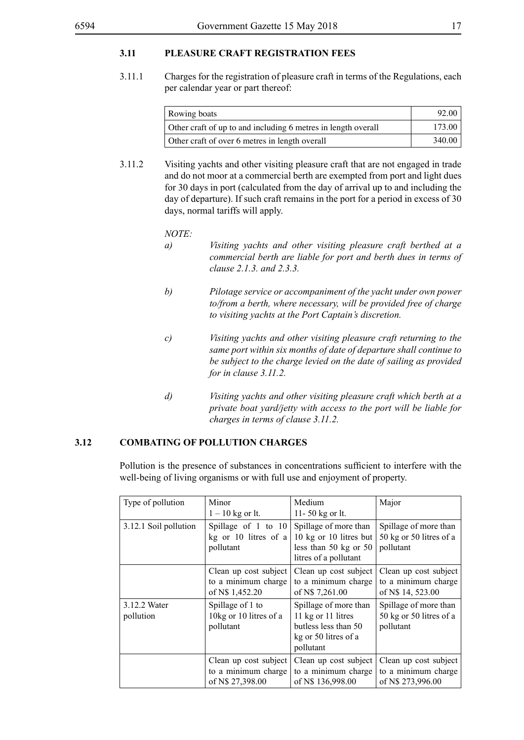#### **3.11 PLEASURE CRAFT REGISTRATION FEES**

3.11.1 Charges for the registration of pleasure craft in terms of the Regulations, each per calendar year or part thereof:

| Rowing boats                                                  | -92.06 |
|---------------------------------------------------------------|--------|
| Other craft of up to and including 6 metres in length overall | 173.00 |
| Other craft of over 6 metres in length overall                | 340.00 |

3.11.2 Visiting yachts and other visiting pleasure craft that are not engaged in trade and do not moor at a commercial berth are exempted from port and light dues for 30 days in port (calculated from the day of arrival up to and including the day of departure). If such craft remains in the port for a period in excess of 30 days, normal tariffs will apply.

*NOTE:*

- *a) Visiting yachts and other visiting pleasure craft berthed at a commercial berth are liable for port and berth dues in terms of clause 2.1.3. and 2.3.3.*
- *b) Pilotage service or accompaniment of the yacht under own power to/from a berth, where necessary, will be provided free of charge to visiting yachts at the Port Captain's discretion.*
- *c) Visiting yachts and other visiting pleasure craft returning to the same port within six months of date of departure shall continue to be subject to the charge levied on the date of sailing as provided for in clause 3.11.2.*
- *d) Visiting yachts and other visiting pleasure craft which berth at a private boat yard/jetty with access to the port will be liable for charges in terms of clause 3.11.2.*

#### **3.12 COMBATING OF POLLUTION CHARGES**

Pollution is the presence of substances in concentrations sufficient to interfere with the well-being of living organisms or with full use and enjoyment of property.

| Type of pollution         | Minor<br>$1 - 10$ kg or lt.                                      | Medium<br>11-50 kg or lt.                                                                                | Major                                                             |
|---------------------------|------------------------------------------------------------------|----------------------------------------------------------------------------------------------------------|-------------------------------------------------------------------|
| 3.12.1 Soil pollution     | Spillage of 1 to 10<br>kg or 10 litres of a<br>pollutant         | Spillage of more than<br>10 kg or 10 litres but<br>less than $50$ kg or $50$<br>litres of a pollutant    | Spillage of more than<br>50 kg or 50 litres of a<br>pollutant     |
|                           | Clean up cost subject<br>to a minimum charge<br>of N\$ 1,452.20  | Clean up cost subject<br>to a minimum charge<br>of N\$ 7,261.00                                          | Clean up cost subject<br>to a minimum charge<br>of N\$ 14, 523.00 |
| 3.12.2 Water<br>pollution | Spillage of 1 to<br>10kg or 10 litres of a<br>pollutant          | Spillage of more than<br>11 kg or 11 litres<br>butless less than 50<br>kg or 50 litres of a<br>pollutant | Spillage of more than<br>50 kg or 50 litres of a<br>pollutant     |
|                           | Clean up cost subject<br>to a minimum charge<br>of N\$ 27,398.00 | Clean up cost subject<br>to a minimum charge<br>of N\$ 136,998.00                                        | Clean up cost subject<br>to a minimum charge<br>of N\$ 273,996.00 |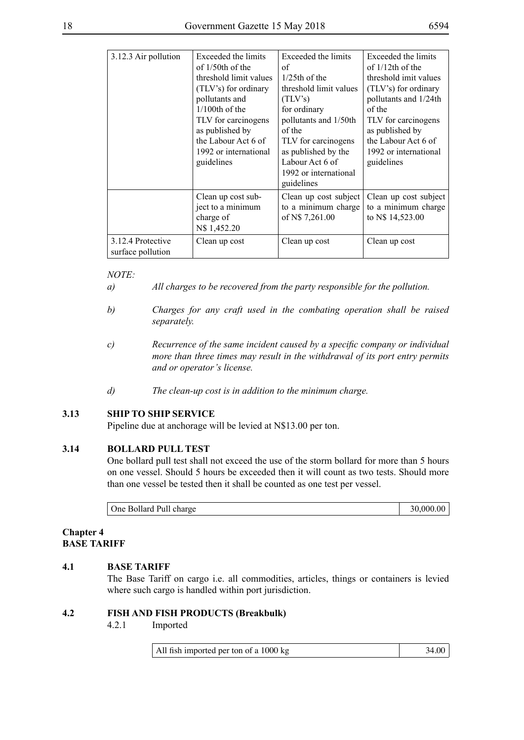| 3.12.3 Air pollution | Exceeded the limits<br>of $1/50$ th of the | Exceeded the limits<br>of | Exceeded the limits<br>of $1/12$ th of the |
|----------------------|--------------------------------------------|---------------------------|--------------------------------------------|
|                      |                                            |                           |                                            |
|                      | threshold limit values                     | $1/25$ th of the          | threshold imit values                      |
|                      | (TLV's) for ordinary                       | threshold limit values    | (TLV's) for ordinary                       |
|                      | pollutants and                             | (TLV's)                   | pollutants and 1/24th                      |
|                      | $1/100$ th of the                          | for ordinary              | of the                                     |
|                      | TLV for carcinogens                        | pollutants and 1/50th     | TLV for carcinogens                        |
|                      | as published by                            | of the                    | as published by                            |
|                      | the Labour Act 6 of                        | TLV for carcinogens       | the Labour Act 6 of                        |
|                      | 1992 or international                      | as published by the       | 1992 or international                      |
|                      | guidelines                                 | Labour Act 6 of           | guidelines                                 |
|                      |                                            | 1992 or international     |                                            |
|                      |                                            | guidelines                |                                            |
|                      | Clean up cost sub-                         | Clean up cost subject     | Clean up cost subject                      |
|                      | ject to a minimum                          | to a minimum charge       | to a minimum charge                        |
|                      | charge of                                  | of N\$ 7,261.00           | to N\$ 14,523.00                           |
|                      | N\$ 1,452.20                               |                           |                                            |
| 3.12.4 Protective    | Clean up cost                              | Clean up cost             | Clean up cost                              |
| surface pollution    |                                            |                           |                                            |

#### *NOTE:*

- *a) All charges to be recovered from the party responsible for the pollution.*
- *b) Charges for any craft used in the combating operation shall be raised separately.*
- *c) Recurrence of the same incident caused by a specific company or individual more than three times may result in the withdrawal of its port entry permits and or operator's license.*
- *d) The clean-up cost is in addition to the minimum charge.*

#### **3.13 SHIP TO SHIP SERVICE**

Pipeline due at anchorage will be levied at N\$13.00 per ton.

#### **3.14 BOLLARD PULL TEST**

One bollard pull test shall not exceed the use of the storm bollard for more than 5 hours on one vessel. Should 5 hours be exceeded then it will count as two tests. Should more than one vessel be tested then it shall be counted as one test per vessel.

| One Bollard Pull charge | 30,000.00 |
|-------------------------|-----------|
|                         |           |

#### **Chapter 4 BASE TARIFF**

#### **4.1 BASE TARIFF**

The Base Tariff on cargo i.e. all commodities, articles, things or containers is levied where such cargo is handled within port jurisdiction.

#### **4.2 FISH AND FISH PRODUCTS (Breakbulk)**

4.2.1 Imported

All fish imported per ton of a 1000 kg 34.00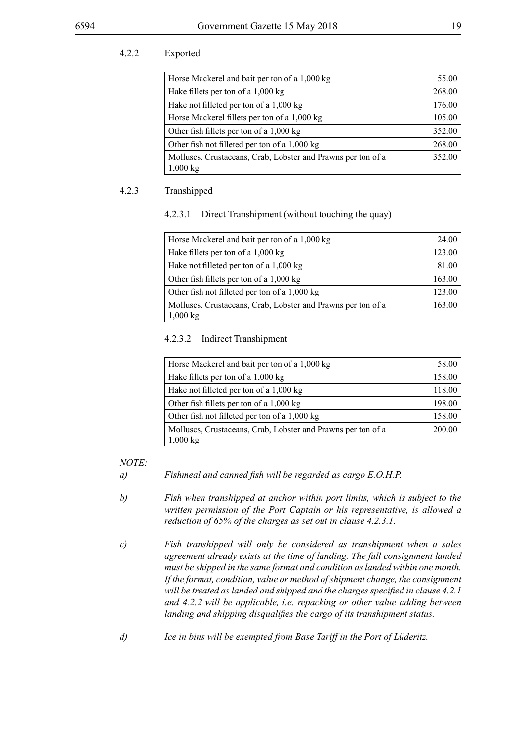#### 4.2.2 Exported

| Horse Mackerel and bait per ton of a 1,000 kg                | 55.00  |
|--------------------------------------------------------------|--------|
| Hake fillets per ton of a 1,000 kg                           | 268.00 |
| Hake not filleted per ton of a 1,000 kg                      | 176.00 |
| Horse Mackerel fillets per ton of a 1,000 kg                 | 105.00 |
| Other fish fillets per ton of a 1,000 kg                     | 352.00 |
| Other fish not filleted per ton of a 1,000 kg                | 268.00 |
| Molluscs, Crustaceans, Crab, Lobster and Prawns per ton of a | 352.00 |
| 1,000 kg                                                     |        |

#### 4.2.3 Transhipped

#### 4.2.3.1 Direct Transhipment (without touching the quay)

| Horse Mackerel and bait per ton of a 1,000 kg                                      | 24.00  |
|------------------------------------------------------------------------------------|--------|
| Hake fillets per ton of a 1,000 kg                                                 | 123.00 |
| Hake not filleted per ton of a 1,000 kg                                            | 81.00  |
| Other fish fillets per ton of a $1,000 \text{ kg}$                                 | 163.00 |
| Other fish not filleted per ton of a 1,000 kg                                      | 123.00 |
| Molluscs, Crustaceans, Crab, Lobster and Prawns per ton of a<br>$1,000 \text{ kg}$ | 163.00 |

#### 4.2.3.2 Indirect Transhipment

| Horse Mackerel and bait per ton of a 1,000 kg                                      | 58.00  |
|------------------------------------------------------------------------------------|--------|
| Hake fillets per ton of a 1,000 kg                                                 | 158.00 |
| Hake not filleted per ton of a 1,000 kg                                            | 118.00 |
| Other fish fillets per ton of a 1,000 kg                                           | 198.00 |
| Other fish not filleted per ton of a 1,000 kg                                      | 158.00 |
| Molluscs, Crustaceans, Crab, Lobster and Prawns per ton of a<br>$1,000 \text{ kg}$ | 200.00 |

- *a) Fishmeal and canned fish will be regarded as cargo E.O.H.P.*
- *b) Fish when transhipped at anchor within port limits, which is subject to the written permission of the Port Captain or his representative, is allowed a reduction of 65% of the charges as set out in clause 4.2.3.1.*
- *c) Fish transhipped will only be considered as transhipment when a sales agreement already exists at the time of landing. The full consignment landed must be shipped in the same format and condition as landed within one month. If the format, condition, value or method of shipment change, the consignment will be treated as landed and shipped and the charges specified in clause 4.2.1 and 4.2.2 will be applicable, i.e. repacking or other value adding between landing and shipping disqualifies the cargo of its transhipment status.*
- *d) Ice in bins will be exempted from Base Tariff in the Port of Lüderitz.*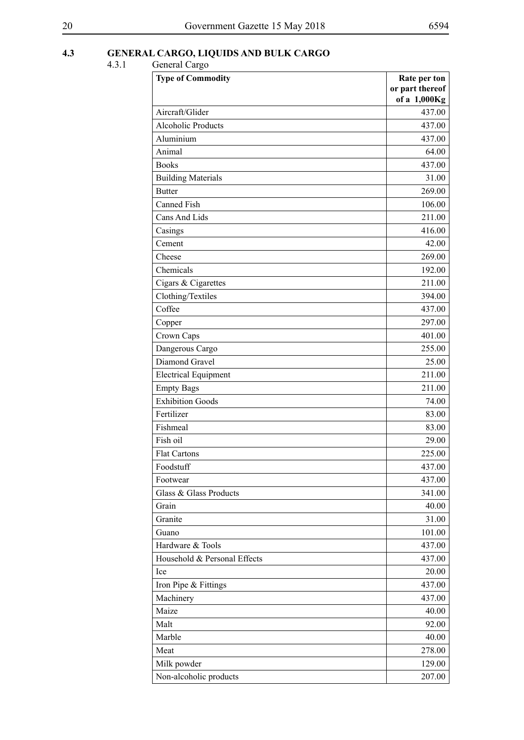#### **4.3 GENERAL CARGO, LIQUIDS AND BULK CARGO**

| <b>Type of Commodity</b>     | Rate per ton<br>or part thereof<br>of a 1,000Kg |
|------------------------------|-------------------------------------------------|
| Aircraft/Glider              | 437.00                                          |
| <b>Alcoholic Products</b>    | 437.00                                          |
| Aluminium                    | 437.00                                          |
| Animal                       | 64.00                                           |
| <b>Books</b>                 | 437.00                                          |
| <b>Building Materials</b>    | 31.00                                           |
| <b>Butter</b>                | 269.00                                          |
| <b>Canned Fish</b>           | 106.00                                          |
| Cans And Lids                | 211.00                                          |
| Casings                      | 416.00                                          |
| Cement                       | 42.00                                           |
| Cheese                       | 269.00                                          |
| Chemicals                    | 192.00                                          |
| Cigars & Cigarettes          | 211.00                                          |
| Clothing/Textiles            | 394.00                                          |
| Coffee                       | 437.00                                          |
| Copper                       | 297.00                                          |
| Crown Caps                   | 401.00                                          |
| Dangerous Cargo              | 255.00                                          |
| Diamond Gravel               | 25.00                                           |
| <b>Electrical Equipment</b>  | 211.00                                          |
| <b>Empty Bags</b>            | 211.00                                          |
| <b>Exhibition Goods</b>      | 74.00                                           |
| Fertilizer                   | 83.00                                           |
| Fishmeal                     | 83.00                                           |
| Fish oil                     | 29.00                                           |
| <b>Flat Cartons</b>          | 225.00                                          |
| Foodstuff                    | 437.00                                          |
| Footwear                     | 437.00                                          |
| Glass & Glass Products       | 341.00                                          |
| Grain                        | 40.00                                           |
| Granite                      | 31.00                                           |
| Guano                        | 101.00                                          |
| Hardware & Tools             | 437.00                                          |
| Household & Personal Effects | 437.00                                          |
| Ice                          | 20.00                                           |
| Iron Pipe & Fittings         | 437.00                                          |
| Machinery                    | 437.00                                          |
| Maize                        | 40.00                                           |
| Malt                         | 92.00                                           |
| Marble                       | 40.00                                           |
| Meat                         | 278.00                                          |
| Milk powder                  | 129.00                                          |
| Non-alcoholic products       | 207.00                                          |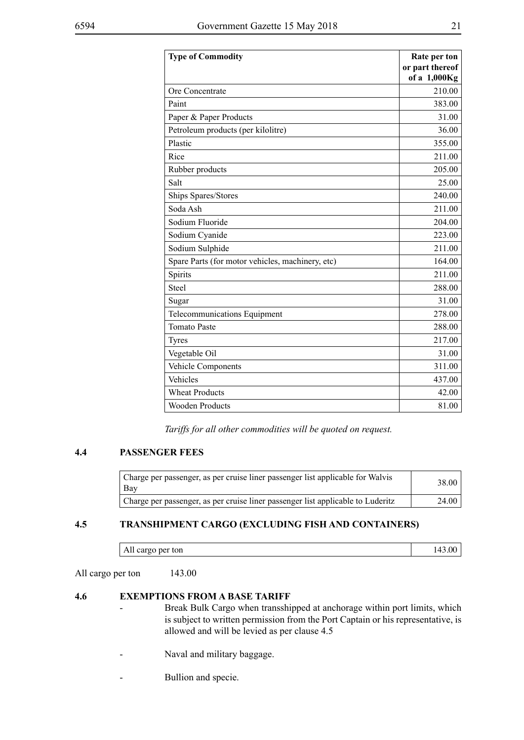| <b>Type of Commodity</b>                         | Rate per ton<br>or part thereof<br>of a 1,000Kg |
|--------------------------------------------------|-------------------------------------------------|
| Ore Concentrate                                  | 210.00                                          |
| Paint                                            | 383.00                                          |
| Paper & Paper Products                           | 31.00                                           |
| Petroleum products (per kilolitre)               | 36.00                                           |
| Plastic                                          | 355.00                                          |
| Rice                                             | 211.00                                          |
| Rubber products                                  | 205.00                                          |
| Salt                                             | 25.00                                           |
| Ships Spares/Stores                              | 240.00                                          |
| Soda Ash                                         | 211.00                                          |
| Sodium Fluoride                                  | 204.00                                          |
| Sodium Cyanide                                   | 223.00                                          |
| Sodium Sulphide                                  | 211.00                                          |
| Spare Parts (for motor vehicles, machinery, etc) | 164.00                                          |
| Spirits                                          | 211.00                                          |
| Steel                                            | 288.00                                          |
| Sugar                                            | 31.00                                           |
| Telecommunications Equipment                     | 278.00                                          |
| <b>Tomato Paste</b>                              | 288.00                                          |
| <b>Tyres</b>                                     | 217.00                                          |
| Vegetable Oil                                    | 31.00                                           |
| Vehicle Components                               | 311.00                                          |
| Vehicles                                         | 437.00                                          |
| <b>Wheat Products</b>                            | 42.00                                           |
| <b>Wooden Products</b>                           | 81.00                                           |

*Tariffs for all other commodities will be quoted on request.*

#### **4.4 PASSENGER FEES**

| Charge per passenger, as per cruise liner passenger list applicable for Walvis<br>  Bay | 38.00 |
|-----------------------------------------------------------------------------------------|-------|
| Charge per passenger, as per cruise liner passenger list applicable to Luderitz         | 24.00 |

#### **4.5 TRANSHIPMENT CARGO (EXCLUDING FISH AND CONTAINERS)**

| All cargo per ton | 143.00 |
|-------------------|--------|
|-------------------|--------|

All cargo per ton 143.00

#### **4.6 EXEMPTIONS FROM A BASE TARIFF**

- Break Bulk Cargo when transshipped at anchorage within port limits, which is subject to written permission from the Port Captain or his representative, is allowed and will be levied as per clause 4.5
- Naval and military baggage.
- Bullion and specie.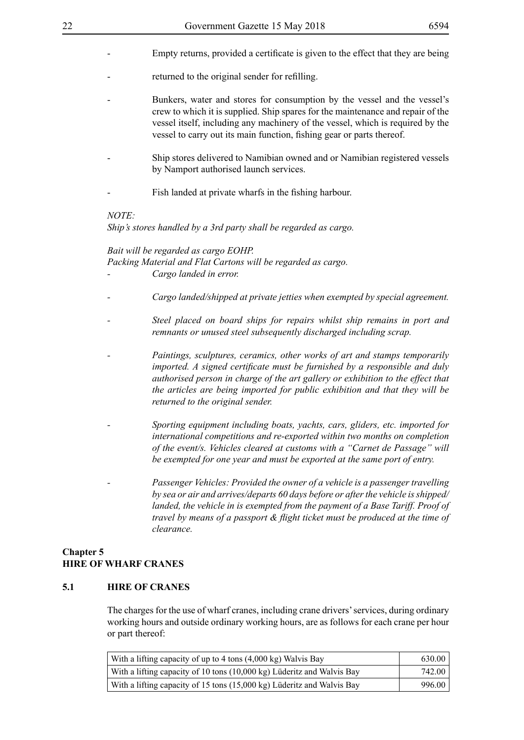- Empty returns, provided a certificate is given to the effect that they are being
- returned to the original sender for refilling.
- Bunkers, water and stores for consumption by the vessel and the vessel's crew to which it is supplied. Ship spares for the maintenance and repair of the vessel itself, including any machinery of the vessel, which is required by the vessel to carry out its main function, fishing gear or parts thereof.
- Ship stores delivered to Namibian owned and or Namibian registered vessels by Namport authorised launch services.
- Fish landed at private wharfs in the fishing harbour.

#### *NOTE:*

*Ship's stores handled by a 3rd party shall be regarded as cargo.*

#### *Bait will be regarded as cargo EOHP.*

*Packing Material and Flat Cartons will be regarded as cargo. - Cargo landed in error.*

- *Cargo landed/shipped at private jetties when exempted by special agreement.*
- *Steel placed on board ships for repairs whilst ship remains in port and remnants or unused steel subsequently discharged including scrap.*
- *Paintings, sculptures, ceramics, other works of art and stamps temporarily imported. A signed certificate must be furnished by a responsible and duly authorised person in charge of the art gallery or exhibition to the effect that the articles are being imported for public exhibition and that they will be returned to the original sender.*
- *Sporting equipment including boats, yachts, cars, gliders, etc. imported for international competitions and re-exported within two months on completion of the event/s. Vehicles cleared at customs with a "Carnet de Passage" will be exempted for one year and must be exported at the same port of entry.*
- *Passenger Vehicles: Provided the owner of a vehicle is a passenger travelling by sea or air and arrives/departs 60 days before or after the vehicle is shipped/ landed, the vehicle in is exempted from the payment of a Base Tariff. Proof of travel by means of a passport & flight ticket must be produced at the time of clearance.*

#### **Chapter 5 HIRE OF WHARF CRANES**

#### **5.1 HIRE OF CRANES**

The charges for the use of wharf cranes, including crane drivers' services, during ordinary working hours and outside ordinary working hours, are as follows for each crane per hour or part thereof:

| With a lifting capacity of up to 4 tons (4,000 kg) Walvis Bay          | 630.00 |
|------------------------------------------------------------------------|--------|
| With a lifting capacity of 10 tons (10,000 kg) Lüderitz and Walvis Bay | 742.00 |
| With a lifting capacity of 15 tons (15,000 kg) Lüderitz and Walvis Bay | 996.00 |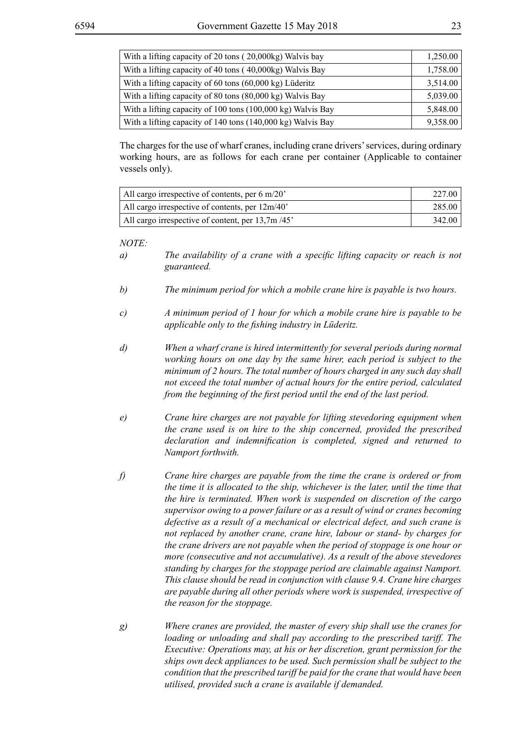| With a lifting capacity of 20 tons (20,000kg) Walvis bay          | 1,250.00 |
|-------------------------------------------------------------------|----------|
| With a lifting capacity of 40 tons (40,000kg) Walvis Bay          | 1,758.00 |
| With a lifting capacity of 60 tons $(60,000 \text{ kg})$ Lüderitz | 3,514.00 |
| With a lifting capacity of 80 tons (80,000 kg) Walvis Bay         | 5,039.00 |
| With a lifting capacity of 100 tons (100,000 kg) Walvis Bay       | 5,848.00 |
| With a lifting capacity of 140 tons (140,000 kg) Walvis Bay       | 9,358.00 |

The charges for the use of wharf cranes, including crane drivers' services, during ordinary working hours, are as follows for each crane per container (Applicable to container vessels only).

| All cargo irrespective of contents, per $6 \text{ m}/20$ | 227.00 |
|----------------------------------------------------------|--------|
| All cargo irrespective of contents, per $12m/40$         | 285.00 |
| All cargo irrespective of content, per 13,7m/45'         | 342.00 |

- *a) The availability of a crane with a specific lifting capacity or reach is not guaranteed.*
- *b) The minimum period for which a mobile crane hire is payable is two hours.*
- *c) A minimum period of 1 hour for which a mobile crane hire is payable to be applicable only to the fishing industry in Lüderitz.*
- *d) When a wharf crane is hired intermittently for several periods during normal working hours on one day by the same hirer, each period is subject to the minimum of 2 hours. The total number of hours charged in any such day shall not exceed the total number of actual hours for the entire period, calculated from the beginning of the first period until the end of the last period.*
- *e) Crane hire charges are not payable for lifting stevedoring equipment when the crane used is on hire to the ship concerned, provided the prescribed declaration and indemnification is completed, signed and returned to Namport forthwith.*
- *f) Crane hire charges are payable from the time the crane is ordered or from the time it is allocated to the ship, whichever is the later, until the time that the hire is terminated. When work is suspended on discretion of the cargo supervisor owing to a power failure or as a result of wind or cranes becoming defective as a result of a mechanical or electrical defect, and such crane is not replaced by another crane, crane hire, labour or stand- by charges for the crane drivers are not payable when the period of stoppage is one hour or more (consecutive and not accumulative). As a result of the above stevedores standing by charges for the stoppage period are claimable against Namport. This clause should be read in conjunction with clause 9.4. Crane hire charges are payable during all other periods where work is suspended, irrespective of the reason for the stoppage.*
- *g) Where cranes are provided, the master of every ship shall use the cranes for loading or unloading and shall pay according to the prescribed tariff. The Executive: Operations may, at his or her discretion, grant permission for the ships own deck appliances to be used. Such permission shall be subject to the condition that the prescribed tariff be paid for the crane that would have been utilised, provided such a crane is available if demanded.*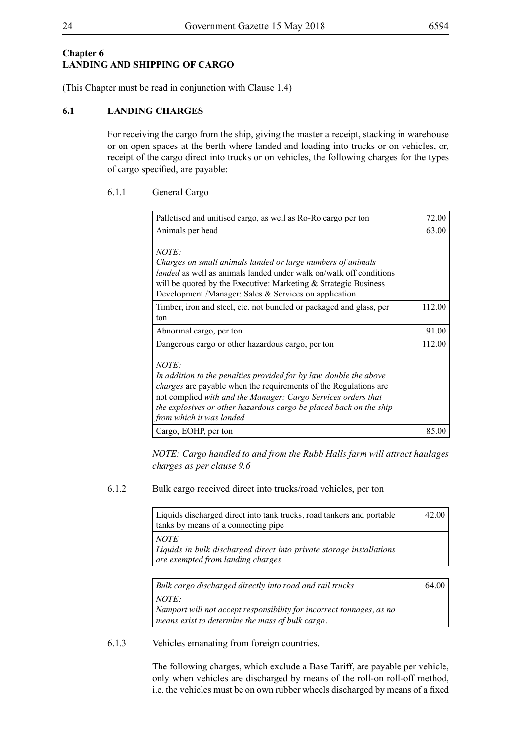#### **Chapter 6 LANDING AND SHIPPING OF CARGO**

(This Chapter must be read in conjunction with Clause 1.4)

#### **6.1 LANDING CHARGES**

For receiving the cargo from the ship, giving the master a receipt, stacking in warehouse or on open spaces at the berth where landed and loading into trucks or on vehicles, or, receipt of the cargo direct into trucks or on vehicles, the following charges for the types of cargo specified, are payable:

#### 6.1.1 General Cargo

| Palletised and unitised cargo, as well as Ro-Ro cargo per ton                                                                                                                                                                                                                                                             | 72.00  |
|---------------------------------------------------------------------------------------------------------------------------------------------------------------------------------------------------------------------------------------------------------------------------------------------------------------------------|--------|
| Animals per head                                                                                                                                                                                                                                                                                                          | 63.00  |
| <i>NOTE:</i><br>Charges on small animals landed or large numbers of animals<br><i>landed</i> as well as animals landed under walk on/walk off conditions<br>will be quoted by the Executive: Marketing $&$ Strategic Business<br>Development /Manager: Sales & Services on application.                                   |        |
| Timber, iron and steel, etc. not bundled or packaged and glass, per                                                                                                                                                                                                                                                       | 112.00 |
| ton                                                                                                                                                                                                                                                                                                                       |        |
| Abnormal cargo, per ton                                                                                                                                                                                                                                                                                                   | 91.00  |
| Dangerous cargo or other hazardous cargo, per ton                                                                                                                                                                                                                                                                         | 112.00 |
| NOTE:<br>In addition to the penalties provided for by law, double the above<br><i>charges</i> are payable when the requirements of the Regulations are<br>not complied with and the Manager: Cargo Services orders that<br>the explosives or other hazardous cargo be placed back on the ship<br>from which it was landed |        |
| Cargo, EOHP, per ton                                                                                                                                                                                                                                                                                                      | 85.00  |

*NOTE: Cargo handled to and from the Rubb Halls farm will attract haulages charges as per clause 9.6*

#### 6.1.2 Bulk cargo received direct into trucks/road vehicles, per ton

| Liquids discharged direct into tank trucks, road tankers and portable<br>tanks by means of a connecting pipe               | 42.00 |
|----------------------------------------------------------------------------------------------------------------------------|-------|
| <i>NOTE</i><br>  Liquids in bulk discharged direct into private storage installations<br>are exempted from landing charges |       |

| Bulk cargo discharged directly into road and rail trucks                                        | 64.00 |
|-------------------------------------------------------------------------------------------------|-------|
| $\vdash NOTE$ :<br>$\vert$ Namport will not accept responsibility for incorrect tonnages, as no |       |
| means exist to determine the mass of bulk cargo.                                                |       |

#### 6.1.3 Vehicles emanating from foreign countries.

The following charges, which exclude a Base Tariff, are payable per vehicle, only when vehicles are discharged by means of the roll-on roll-off method, i.e. the vehicles must be on own rubber wheels discharged by means of a fixed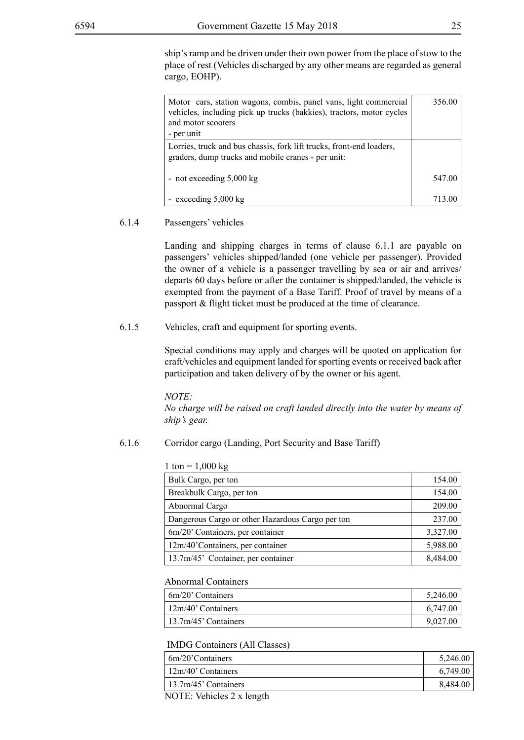ship's ramp and be driven under their own power from the place of stow to the place of rest (Vehicles discharged by any other means are regarded as general cargo, EOHP).

| Motor cars, station wagons, combis, panel vans, light commercial<br>vehicles, including pick up trucks (bakkies), tractors, motor cycles<br>and motor scooters<br>- per unit | 356.00 |
|------------------------------------------------------------------------------------------------------------------------------------------------------------------------------|--------|
| Lorries, truck and bus chassis, fork lift trucks, front-end loaders,<br>graders, dump trucks and mobile cranes - per unit:                                                   |        |
| - not exceeding $5,000 \text{ kg}$                                                                                                                                           | 547.00 |
| - exceeding $5,000 \text{ kg}$                                                                                                                                               | 713.00 |

#### 6.1.4 Passengers' vehicles

Landing and shipping charges in terms of clause 6.1.1 are payable on passengers' vehicles shipped/landed (one vehicle per passenger). Provided the owner of a vehicle is a passenger travelling by sea or air and arrives/ departs 60 days before or after the container is shipped/landed, the vehicle is exempted from the payment of a Base Tariff. Proof of travel by means of a passport & flight ticket must be produced at the time of clearance.

#### 6.1.5 Vehicles, craft and equipment for sporting events.

Special conditions may apply and charges will be quoted on application for craft/vehicles and equipment landed for sporting events or received back after participation and taken delivery of by the owner or his agent.

*NOTE:*

*No charge will be raised on craft landed directly into the water by means of ship's gear.*

#### 6.1.6 Corridor cargo (Landing, Port Security and Base Tariff)

| $1 \text{ ton} = 1,000 \text{ kg}$ |  |
|------------------------------------|--|
|                                    |  |

| Bulk Cargo, per ton                              | 154.00   |
|--------------------------------------------------|----------|
| Breakbulk Cargo, per ton                         | 154.00   |
| Abnormal Cargo                                   | 209.00   |
| Dangerous Cargo or other Hazardous Cargo per ton | 237.00   |
| 6m/20' Containers, per container                 | 3,327.00 |
| 12m/40'Containers, per container                 | 5,988.00 |
| 13.7m/45' Container, per container               | 8,484.00 |

#### Abnormal Containers

| 6m/20' Containers       | 5,246.00 |
|-------------------------|----------|
| 12m/40' Containers      | 6,747.00 |
| $13.7m/45$ ' Containers | 9,027.00 |

#### IMDG Containers (All Classes)

| $\frac{1}{20}$ Containers                                                              | 5,246.00 |
|----------------------------------------------------------------------------------------|----------|
| $\frac{12m}{40}$ Containers                                                            | 6,749.00 |
| $13.7m/45$ ' Containers                                                                | 8,484.00 |
| $M\triangle T\Gamma$ , $M_2$ $\Gamma$ , $1_{22}$ $\Delta$ $\Gamma$ , $1_{21}$ $\Delta$ |          |

NOTE: Vehicles 2 x length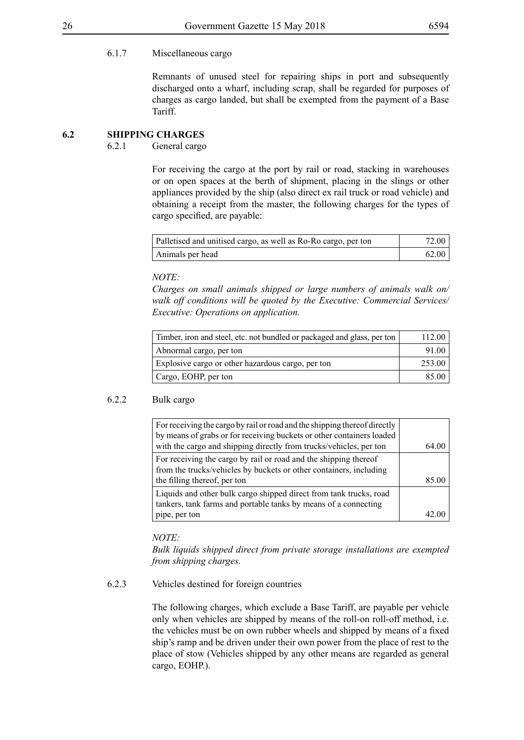#### 6.1.7 Miscellaneous cargo

Remnants of unused steel for repairing ships in port and subsequently discharged onto a wharf, including scrap, shall be regarded for purposes of charges as cargo landed, but shall be exempted from the payment of a Base Tariff.

#### **6.2 SHIPPING CHARGES**

6.2.1 General cargo

For receiving the cargo at the port by rail or road, stacking in warehouses or on open spaces at the berth of shipment, placing in the slings or other appliances provided by the ship (also direct ex rail truck or road vehicle) and obtaining a receipt from the master, the following charges for the types of cargo specified, are payable:

| Palletised and unitised cargo, as well as Ro-Ro cargo, per ton | 72.00 |
|----------------------------------------------------------------|-------|
| Animals per head                                               | 62.00 |

*NOTE:*

*Charges on small animals shipped or large numbers of animals walk on/ walk off conditions will be quoted by the Executive: Commercial Services/ Executive: Operations on application.*

| Timber, iron and steel, etc. not bundled or packaged and glass, per ton | 112 00 |
|-------------------------------------------------------------------------|--------|
| Abnormal cargo, per ton                                                 | 91.00  |
| Explosive cargo or other hazardous cargo, per ton                       | 253.00 |
| Cargo, EOHP, per ton                                                    | 85.00  |

#### 6.2.2 Bulk cargo

| 64.00 |
|-------|
| 85.00 |
|       |
|       |

*NOTE:*

*Bulk liquids shipped direct from private storage installations are exempted from shipping charges.*

#### 6.2.3 Vehicles destined for foreign countries

The following charges, which exclude a Base Tariff, are payable per vehicle only when vehicles are shipped by means of the roll-on roll-off method, i.e. the vehicles must be on own rubber wheels and shipped by means of a fixed ship's ramp and be driven under their own power from the place of rest to the place of stow (Vehicles shipped by any other means are regarded as general cargo, EOHP.).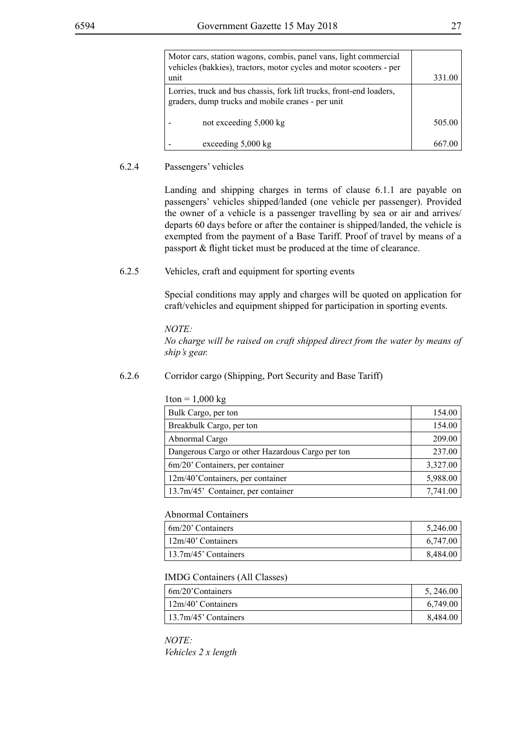| Motor cars, station wagons, combis, panel vans, light commercial<br>vehicles (bakkies), tractors, motor cycles and motor scooters - per |        |
|-----------------------------------------------------------------------------------------------------------------------------------------|--------|
| unit                                                                                                                                    | 331.00 |
| Lorries, truck and bus chassis, fork lift trucks, front-end loaders,<br>graders, dump trucks and mobile cranes - per unit               |        |
| not exceeding 5,000 kg                                                                                                                  | 505.00 |
| exceeding 5,000 kg                                                                                                                      |        |

#### 6.2.4 Passengers' vehicles

Landing and shipping charges in terms of clause 6.1.1 are payable on passengers' vehicles shipped/landed (one vehicle per passenger). Provided the owner of a vehicle is a passenger travelling by sea or air and arrives/ departs 60 days before or after the container is shipped/landed, the vehicle is exempted from the payment of a Base Tariff. Proof of travel by means of a passport & flight ticket must be produced at the time of clearance.

6.2.5 Vehicles, craft and equipment for sporting events

Special conditions may apply and charges will be quoted on application for craft/vehicles and equipment shipped for participation in sporting events.

#### *NOTE:*

*No charge will be raised on craft shipped direct from the water by means of ship's gear.*

#### 6.2.6 Corridor cargo (Shipping, Port Security and Base Tariff)

| $1 \text{ton} = 1,000 \text{ kg}$                |          |
|--------------------------------------------------|----------|
| Bulk Cargo, per ton                              | 154.00   |
| Breakbulk Cargo, per ton                         | 154.00   |
| Abnormal Cargo                                   | 209.00   |
| Dangerous Cargo or other Hazardous Cargo per ton | 237.00   |
| 6m/20' Containers, per container                 | 3,327.00 |
| 12m/40'Containers, per container                 | 5,988.00 |
| 13.7m/45' Container, per container               | 7,741.00 |

#### Abnormal Containers

| $\frac{1}{20}$ Containers   | 5,246.00 |
|-----------------------------|----------|
| $\frac{12m}{40}$ Containers | 6,747.00 |
| $13.7m/45$ ' Containers     | 8,484.00 |

#### IMDG Containers (All Classes)

| 6m/20'Containers        | 5, 246.00 |
|-------------------------|-----------|
| $12m/40$ ' Containers   | 6,749.00  |
| $13.7m/45$ ' Containers | 8,484.00  |

*NOTE: Vehicles 2 x length*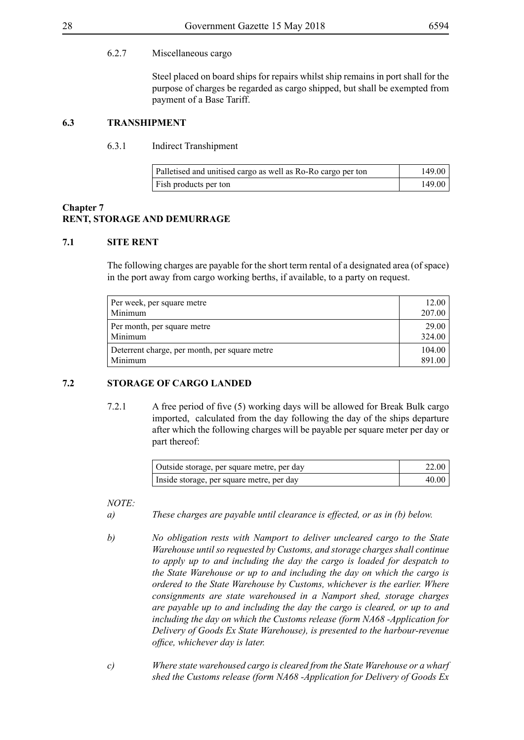#### 6.2.7 Miscellaneous cargo

Steel placed on board ships for repairs whilst ship remains in port shall for the purpose of charges be regarded as cargo shipped, but shall be exempted from payment of a Base Tariff.

#### **6.3 TRANSHIPMENT**

#### 6.3.1 Indirect Transhipment

| Palletised and unitised cargo as well as Ro-Ro cargo per ton | 149.00 |
|--------------------------------------------------------------|--------|
| Fish products per ton                                        | 149.00 |

#### **Chapter 7 RENT, STORAGE AND DEMURRAGE**

#### **7.1 SITE RENT**

The following charges are payable for the short term rental of a designated area (of space) in the port away from cargo working berths, if available, to a party on request.

| Per week, per square metre                    | 12.00  |
|-----------------------------------------------|--------|
| Minimum                                       | 207.00 |
| Per month, per square metre                   | 29.00  |
| Minimum                                       | 324.00 |
| Deterrent charge, per month, per square metre | 104.00 |
| Minimum                                       | 891.00 |

#### **7.2 STORAGE OF CARGO LANDED**

7.2.1 A free period of five (5) working days will be allowed for Break Bulk cargo imported, calculated from the day following the day of the ships departure after which the following charges will be payable per square meter per day or part thereof:

| Outside storage, per square metre, per day | 22.00 |
|--------------------------------------------|-------|
| Inside storage, per square metre, per day  | 40.00 |

- *a) These charges are payable until clearance is effected, or as in (b) below.*
- *b) No obligation rests with Namport to deliver uncleared cargo to the State Warehouse until so requested by Customs, and storage charges shall continue to apply up to and including the day the cargo is loaded for despatch to the State Warehouse or up to and including the day on which the cargo is ordered to the State Warehouse by Customs, whichever is the earlier. Where consignments are state warehoused in a Namport shed, storage charges are payable up to and including the day the cargo is cleared, or up to and including the day on which the Customs release (form NA68 -Application for Delivery of Goods Ex State Warehouse), is presented to the harbour-revenue office, whichever day is later.*
- *c) Where state warehoused cargo is cleared from the State Warehouse or a wharf shed the Customs release (form NA68 -Application for Delivery of Goods Ex*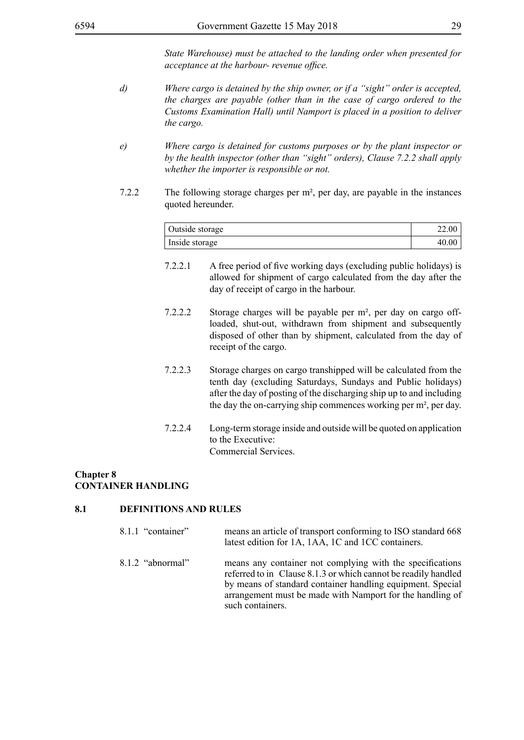*State Warehouse) must be attached to the landing order when presented for acceptance at the harbour- revenue office.*

- *d) Where cargo is detained by the ship owner, or if a "sight" order is accepted, the charges are payable (other than in the case of cargo ordered to the Customs Examination Hall) until Namport is placed in a position to deliver the cargo.*
- *e) Where cargo is detained for customs purposes or by the plant inspector or by the health inspector (other than "sight" orders), Clause 7.2.2 shall apply whether the importer is responsible or not.*
- 7.2.2 The following storage charges per m², per day, are payable in the instances quoted hereunder.

| Outside storage | 22.00 |
|-----------------|-------|
| Inside storage  | 40.00 |

- 7.2.2.1 A free period of five working days (excluding public holidays) is allowed for shipment of cargo calculated from the day after the day of receipt of cargo in the harbour.
- 7.2.2.2 Storage charges will be payable per m², per day on cargo offloaded, shut-out, withdrawn from shipment and subsequently disposed of other than by shipment, calculated from the day of receipt of the cargo.
- 7.2.2.3 Storage charges on cargo transhipped will be calculated from the tenth day (excluding Saturdays, Sundays and Public holidays) after the day of posting of the discharging ship up to and including the day the on-carrying ship commences working per m², per day.
- 7.2.2.4 Long-term storage inside and outside will be quoted on application to the Executive: Commercial Services.

#### **Chapter 8 CONTAINER HANDLING**

#### **8.1 DEFINITIONS AND RULES**

- 8.1.1 "container" means an article of transport conforming to ISO standard 668 latest edition for 1A, 1AA, 1C and 1CC containers. 8.1.2 "abnormal" means any container not complying with the specifications
	- referred to in Clause 8.1.3 or which cannot be readily handled by means of standard container handling equipment. Special arrangement must be made with Namport for the handling of such containers.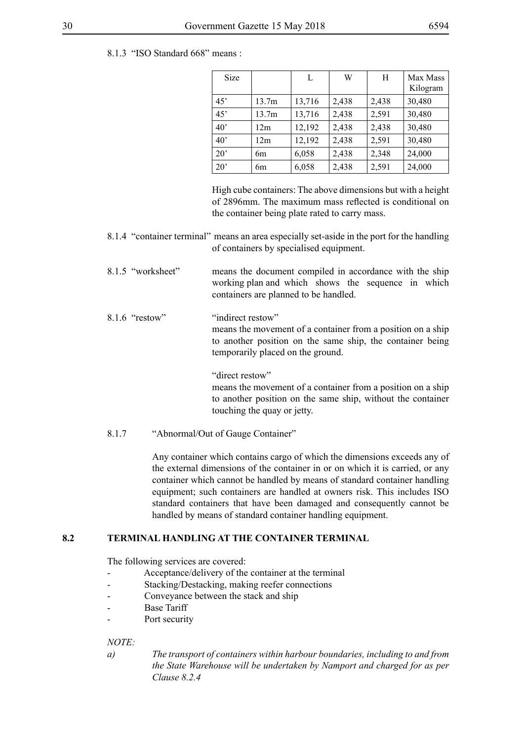8.1.3 "ISO Standard 668" means :

| <b>Size</b>  |       | L      | W     | H     | Max Mass<br>Kilogram |
|--------------|-------|--------|-------|-------|----------------------|
| 45'          | 13.7m | 13,716 | 2,438 | 2,438 | 30,480               |
| 45'          | 13.7m | 13,716 | 2,438 | 2,591 | 30,480               |
| $40^{\circ}$ | 12m   | 12,192 | 2,438 | 2,438 | 30,480               |
| $40^{\circ}$ | 12m   | 12,192 | 2,438 | 2,591 | 30,480               |
| $20^{\circ}$ | 6m    | 6,058  | 2,438 | 2,348 | 24,000               |
| $20^{\circ}$ | 6m    | 6,058  | 2,438 | 2,591 | 24,000               |

High cube containers: The above dimensions but with a height of 2896mm. The maximum mass reflected is conditional on the container being plate rated to carry mass.

- 8.1.4 "container terminal" means an area especially set-aside in the port for the handling of containers by specialised equipment.
- 8.1.5 "worksheet" means the document compiled in accordance with the ship working plan and which shows the sequence in which containers are planned to be handled.
- 8.1.6 "restow" "indirect restow" means the movement of a container from a position on a ship to another position on the same ship, the container being temporarily placed on the ground.

"direct restow" means the movement of a container from a position on a ship to another position on the same ship, without the container touching the quay or jetty.

8.1.7 "Abnormal/Out of Gauge Container"

Any container which contains cargo of which the dimensions exceeds any of the external dimensions of the container in or on which it is carried, or any container which cannot be handled by means of standard container handling equipment; such containers are handled at owners risk. This includes ISO standard containers that have been damaged and consequently cannot be handled by means of standard container handling equipment.

#### **8.2 TERMINAL HANDLING AT THE CONTAINER TERMINAL**

The following services are covered:

- Acceptance/delivery of the container at the terminal
- Stacking/Destacking, making reefer connections
- Conveyance between the stack and ship
- Base Tariff
- Port security

#### *NOTE:*

*a) The transport of containers within harbour boundaries, including to and from the State Warehouse will be undertaken by Namport and charged for as per Clause 8.2.4*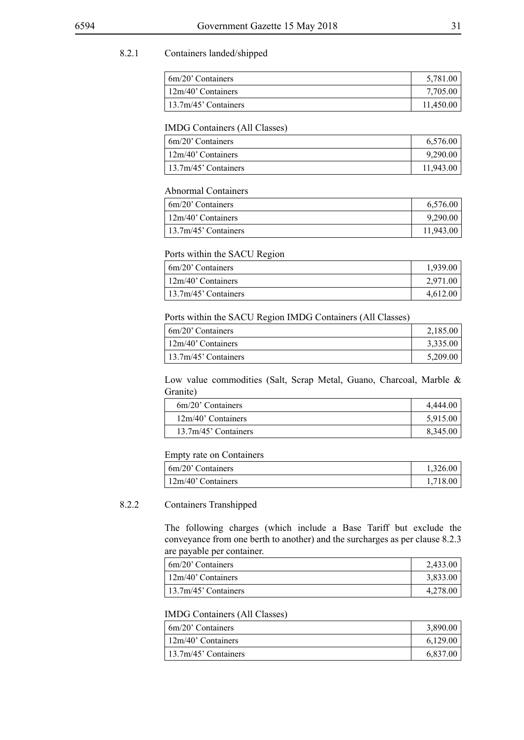#### 8.2.1 Containers landed/shipped

| $\frac{1}{2}$ 6m/20' Containers | 5,781.00  |
|---------------------------------|-----------|
| $\frac{12m}{40}$ Containers     | 7,705.00  |
| $13.7m/45$ ' Containers         | 11,450.00 |

#### IMDG Containers (All Classes)

| $\frac{1}{20}$ Containers | 6,576.00  |
|---------------------------|-----------|
| $12m/40$ ' Containers     | 9,290.00  |
| $13.7m/45$ ' Containers   | 11,943.00 |

#### Abnormal Containers

| 6m/20' Containers       | 6,576.00  |
|-------------------------|-----------|
| $12m/40$ ' Containers   | 9,290.00  |
| $13.7m/45$ ' Containers | 11,943.00 |

#### Ports within the SACU Region

| $\frac{1}{20}$ Containers   | 1,939.00 |
|-----------------------------|----------|
| $\frac{12m}{40}$ Containers | 2,971.00 |
| $13.7m/45$ ' Containers     | 4,612.00 |

Ports within the SACU Region IMDG Containers (All Classes)

| 6m/20' Containers       | 2,185.00 |
|-------------------------|----------|
| $12m/40$ ' Containers   | 3,335.00 |
| $13.7m/45$ ' Containers | 5,209.00 |

Low value commodities (Salt, Scrap Metal, Guano, Charcoal, Marble & Granite)

| 6m/20' Containers    | 4.444.00 |
|----------------------|----------|
| 12m/40' Containers   | 5,915.00 |
| 13.7m/45' Containers | 8,345.00 |
|                      |          |

Empty rate on Containers

| $\frac{1}{2}$ 6m/20' Containers | 1,326.00 |
|---------------------------------|----------|
| $\frac{12m}{40}$ Containers     | 1,718.00 |

#### 8.2.2 Containers Transhipped

The following charges (which include a Base Tariff but exclude the conveyance from one berth to another) and the surcharges as per clause 8.2.3 are payable per container.

| 6m/20' Containers    | 2,433.00 |
|----------------------|----------|
| 12m/40' Containers   | 3,833.00 |
| 13.7m/45' Containers | 4,278.00 |

#### IMDG Containers (All Classes)

| 6m/20' Containers       | 3,890.00 |
|-------------------------|----------|
| 12m/40' Containers      | 6.129.00 |
| $13.7m/45$ ' Containers | 6,837.00 |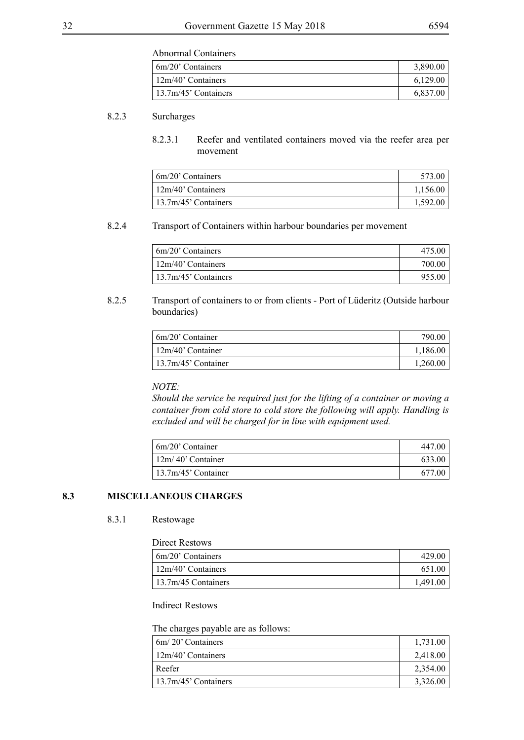Abnormal Containers

| $\frac{1}{20}$ Containers | 3,890.00 |
|---------------------------|----------|
| $12m/40$ ' Containers     | 6,129.00 |
| $13.7m/45$ ' Containers   | 6,837.00 |

#### 8.2.3 Surcharges

8.2.3.1 Reefer and ventilated containers moved via the reefer area per movement

| 6m/20' Containers     | 573.00   |
|-----------------------|----------|
| $12m/40$ ' Containers | 1,156.00 |
| 13.7m/45' Containers  | 1.592.00 |

#### 8.2.4 Transport of Containers within harbour boundaries per movement

| 6m/20' Containers                     | 475.00 |
|---------------------------------------|--------|
| 12m/40' Containers                    | 700.00 |
| $\frac{13.7 \text{m}}{45}$ Containers | 955.00 |

#### 8.2.5 Transport of containers to or from clients - Port of Lüderitz (Outside harbour boundaries)

| $6m/20$ ' Container        | 790.00   |
|----------------------------|----------|
| $\frac{12m}{40}$ Container | 1,186.00 |
| $13.7m/45$ ' Container     | 1,260.00 |

#### *NOTE:*

*Should the service be required just for the lifting of a container or moving a container from cold store to cold store the following will apply. Handling is excluded and will be charged for in line with equipment used.*

| 6m/20' Container                     | 447.00 |
|--------------------------------------|--------|
| 12m/40' Container                    | 633.00 |
| $\frac{13.7 \text{m}}{45}$ Container | 677.00 |

#### **8.3 MISCELLANEOUS CHARGES**

#### 8.3.1 Restowage

| Direct Restows            |          |
|---------------------------|----------|
| $\frac{1}{20}$ Containers | 429.00   |
| $12m/40$ ' Containers     | 651.00   |
| 13.7m/45 Containers       | 1.491.00 |

Indirect Restows

#### The charges payable are as follows:

| $\frac{1}{20}$ Containers   | 1,731.00 |
|-----------------------------|----------|
| $\frac{12m}{40}$ Containers | 2,418.00 |
| Reefer                      | 2,354.00 |
| $13.7m/45$ ' Containers     | 3,326.00 |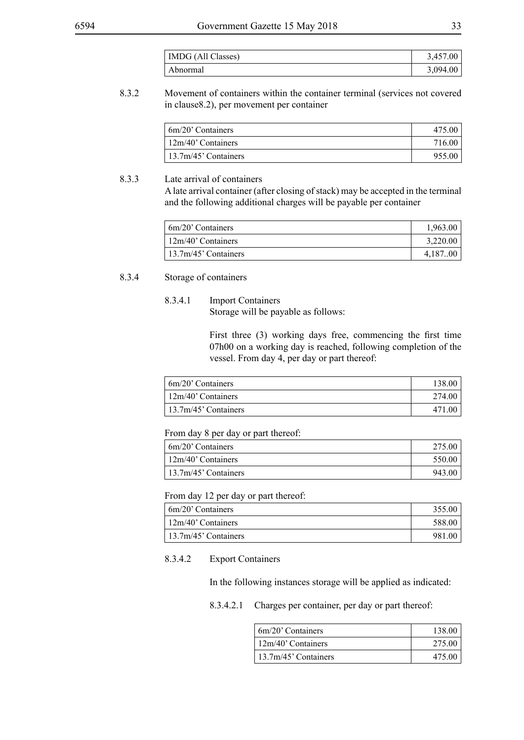| IMDG (All Classes) | 3,457.00 |
|--------------------|----------|
| ⊥ Abnormal         | 3,094.00 |

#### 8.3.2 Movement of containers within the container terminal (services not covered in clause8.2), per movement per container

| 6m/20' Containers     | 475.00 |
|-----------------------|--------|
| $12m/40$ ' Containers | 716.00 |
| 13.7m/45' Containers  | 955.00 |

#### 8.3.3 Late arrival of containers

A late arrival container (after closing of stack) may be accepted in the terminal and the following additional charges will be payable per container

| $6m/20$ ' Containers        | 1,963.00 |
|-----------------------------|----------|
| $\frac{12m}{40}$ Containers | 3,220.00 |
| $13.7m/45$ ' Containers     | 4.18700  |

#### 8.3.4 Storage of containers

#### 8.3.4.1 Import Containers Storage will be payable as follows:

First three (3) working days free, commencing the first time 07h00 on a working day is reached, following completion of the vessel. From day 4, per day or part thereof:

| $6m/20$ ' Containers | 138.00 |
|----------------------|--------|
| 12m/40' Containers   | 274.00 |
| 13.7m/45' Containers | 471.00 |

#### From day 8 per day or part thereof:

| $6m/20$ ' Containers    | 275.00 |
|-------------------------|--------|
| $12m/40$ ' Containers   | 550.00 |
| $13.7m/45$ ' Containers | 943.00 |

#### From day 12 per day or part thereof:

| $\frac{1}{20}$ Containers   | 355.00 |
|-----------------------------|--------|
| $\frac{12m}{40}$ Containers | 588.00 |
| $13.7m/45$ ' Containers     | 981.00 |

#### 8.3.4.2 Export Containers

In the following instances storage will be applied as indicated:

#### 8.3.4.2.1 Charges per container, per day or part thereof:

| $\frac{1}{20}$ Containers   | 138.00 |
|-----------------------------|--------|
| $\frac{12m}{40}$ Containers | 275.00 |
| $13.7m/45$ ' Containers     | 475.00 |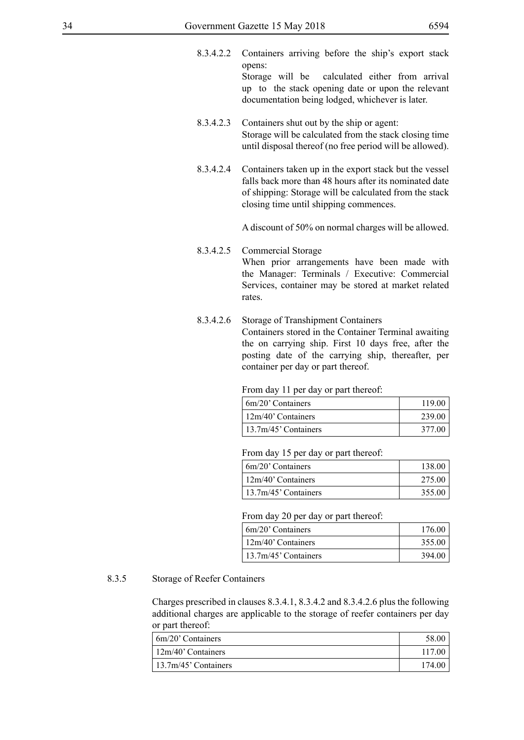- 8.3.4.2.2 Containers arriving before the ship's export stack opens: Storage will be calculated either from arrival up to the stack opening date or upon the relevant documentation being lodged, whichever is later.
- 8.3.4.2.3 Containers shut out by the ship or agent: Storage will be calculated from the stack closing time until disposal thereof (no free period will be allowed).
- 8.3.4.2.4 Containers taken up in the export stack but the vessel falls back more than 48 hours after its nominated date of shipping: Storage will be calculated from the stack closing time until shipping commences.

A discount of 50% on normal charges will be allowed.

- 8.3.4.2.5 Commercial Storage When prior arrangements have been made with the Manager: Terminals / Executive: Commercial Services, container may be stored at market related rates.
- 8.3.4.2.6 Storage of Transhipment Containers Containers stored in the Container Terminal awaiting the on carrying ship. First 10 days free, after the posting date of the carrying ship, thereafter, per container per day or part thereof.

From day 11 per day or part thereof:

| 6m/20' Containers     | 119.00 |
|-----------------------|--------|
| $12m/40$ ' Containers | 239.00 |
| 13.7m/45' Containers  | 377.00 |

From day 15 per day or part thereof:

| 6m/20' Containers    | 138.00 |
|----------------------|--------|
| 12m/40' Containers   | 275.00 |
| 13.7m/45' Containers | 355.00 |

From day 20 per day or part thereof:

| $\frac{1}{20}$ Containers             | 176.00 |
|---------------------------------------|--------|
| $\frac{12m}{40}$ Containers           | 355.00 |
| $\frac{13.7 \text{m}}{45}$ Containers | 394.00 |

#### 8.3.5 Storage of Reefer Containers

Charges prescribed in clauses 8.3.4.1, 8.3.4.2 and 8.3.4.2.6 plus the following additional charges are applicable to the storage of reefer containers per day or part thereof:

| $6m/20$ ' Containers | 58.00  |
|----------------------|--------|
| 12m/40' Containers   | 117.00 |
| 13.7m/45' Containers | 174.00 |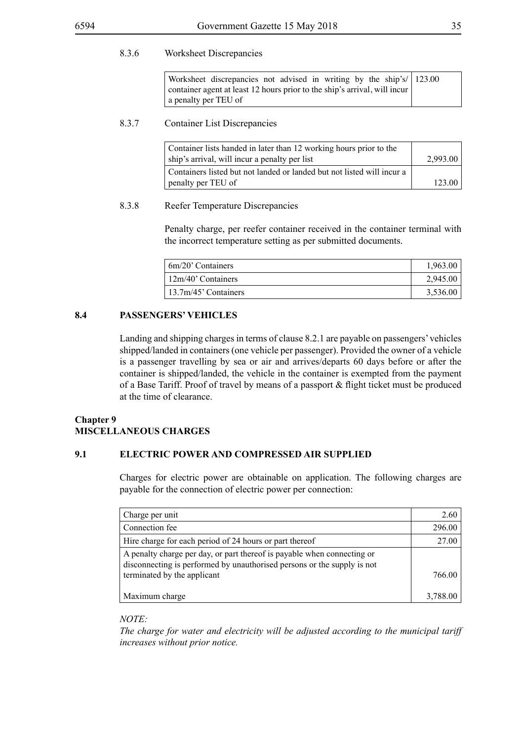#### 8.3.6 Worksheet Discrepancies

| Worksheet discrepancies not advised in writing by the ship's/ 123.00      |  |
|---------------------------------------------------------------------------|--|
| container agent at least 12 hours prior to the ship's arrival, will incur |  |
| a penalty per TEU of                                                      |  |

#### 8.3.7 Container List Discrepancies

| Container lists handed in later than 12 working hours prior to the<br>ship's arrival, will incur a penalty per list | 2,993.00 |
|---------------------------------------------------------------------------------------------------------------------|----------|
| Containers listed but not landed or landed but not listed will incur a<br>penalty per TEU of                        | 123.00   |

#### 8.3.8 Reefer Temperature Discrepancies

Penalty charge, per reefer container received in the container terminal with the incorrect temperature setting as per submitted documents.

| 6m/20' Containers    | 1,963.00 |
|----------------------|----------|
| 12m/40' Containers   | 2,945.00 |
| 13.7m/45' Containers | 3,536.00 |

#### **8.4 PASSENGERS' VEHICLES**

Landing and shipping charges in terms of clause 8.2.1 are payable on passengers' vehicles shipped/landed in containers (one vehicle per passenger). Provided the owner of a vehicle is a passenger travelling by sea or air and arrives/departs 60 days before or after the container is shipped/landed, the vehicle in the container is exempted from the payment of a Base Tariff. Proof of travel by means of a passport & flight ticket must be produced at the time of clearance.

#### **Chapter 9 MISCELLANEOUS CHARGES**

#### **9.1 ELECTRIC POWER AND COMPRESSED AIR SUPPLIED**

Charges for electric power are obtainable on application. The following charges are payable for the connection of electric power per connection:

| Charge per unit                                                                                                                                    | 2.60     |
|----------------------------------------------------------------------------------------------------------------------------------------------------|----------|
| Connection fee                                                                                                                                     | 296.00   |
| Hire charge for each period of 24 hours or part thereof                                                                                            | 27.00    |
| A penalty charge per day, or part thereof is payable when connecting or<br>disconnecting is performed by unauthorised persons or the supply is not |          |
| terminated by the applicant                                                                                                                        | 766.00   |
| Maximum charge                                                                                                                                     | 3,788.00 |

#### *NOTE:*

*The charge for water and electricity will be adjusted according to the municipal tariff increases without prior notice.*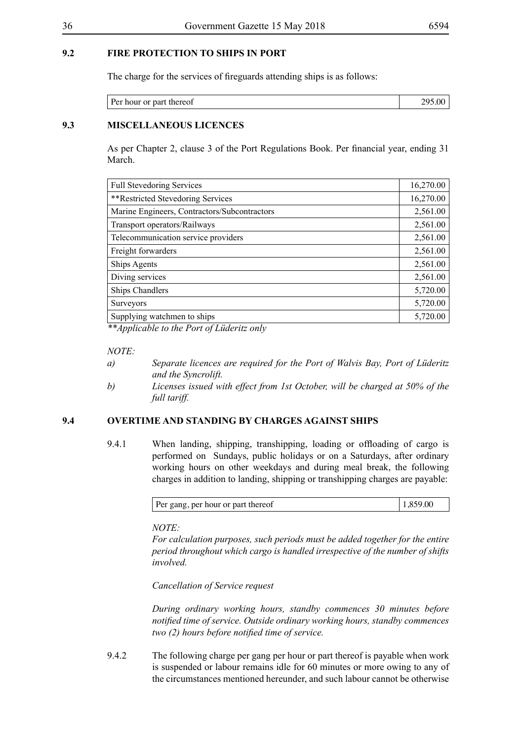#### **9.2 FIRE PROTECTION TO SHIPS IN PORT**

The charge for the services of fireguards attending ships is as follows:

| nour or part thereof |  |
|----------------------|--|

#### **9.3 MISCELLANEOUS LICENCES**

As per Chapter 2, clause 3 of the Port Regulations Book. Per financial year, ending 31 March.

| <b>Full Stevedoring Services</b>             | 16,270.00 |
|----------------------------------------------|-----------|
| **Restricted Stevedoring Services            | 16,270.00 |
| Marine Engineers, Contractors/Subcontractors | 2,561.00  |
| Transport operators/Railways                 | 2,561.00  |
| Telecommunication service providers          | 2,561.00  |
| Freight forwarders                           | 2,561.00  |
| <b>Ships Agents</b>                          | 2,561.00  |
| Diving services                              | 2,561.00  |
| <b>Ships Chandlers</b>                       | 5,720.00  |
| <b>Surveyors</b>                             | 5,720.00  |
| Supplying watchmen to ships                  | 5,720.00  |

*\*\*Applicable to the Port of Lüderitz only*

#### *NOTE:*

- *a) Separate licences are required for the Port of Walvis Bay, Port of Lüderitz and the Syncrolift.*
- *b) Licenses issued with effect from 1st October, will be charged at 50% of the full tariff.*

#### **9.4 OVERTIME AND STANDING BY CHARGES AGAINST SHIPS**

9.4.1 When landing, shipping, transhipping, loading or offloading of cargo is performed on Sundays, public holidays or on a Saturdays, after ordinary working hours on other weekdays and during meal break, the following charges in addition to landing, shipping or transhipping charges are payable:

| Per gang, per hour or part thereof |  |
|------------------------------------|--|
|------------------------------------|--|

*NOTE:*

*For calculation purposes, such periods must be added together for the entire period throughout which cargo is handled irrespective of the number of shifts involved.*

*Cancellation of Service request*

*During ordinary working hours, standby commences 30 minutes before notified time of service. Outside ordinary working hours, standby commences two (2) hours before notified time of service.*

9.4.2 The following charge per gang per hour or part thereof is payable when work is suspended or labour remains idle for 60 minutes or more owing to any of the circumstances mentioned hereunder, and such labour cannot be otherwise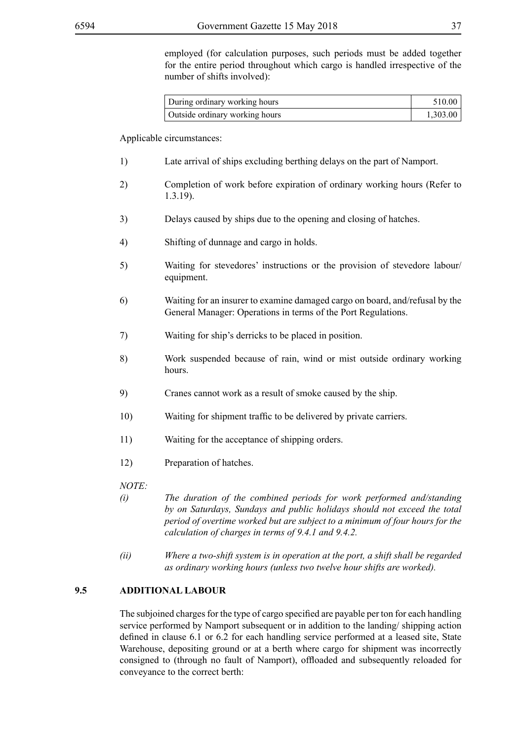employed (for calculation purposes, such periods must be added together for the entire period throughout which cargo is handled irrespective of the number of shifts involved):

| During ordinary working hours  | 510.00   |
|--------------------------------|----------|
| Outside ordinary working hours | 1,303.00 |

Applicable circumstances:

- 1) Late arrival of ships excluding berthing delays on the part of Namport.
- 2) Completion of work before expiration of ordinary working hours (Refer to 1.3.19).
- 3) Delays caused by ships due to the opening and closing of hatches.
- 4) Shifting of dunnage and cargo in holds.
- 5) Waiting for stevedores' instructions or the provision of stevedore labour/ equipment.
- 6) Waiting for an insurer to examine damaged cargo on board, and/refusal by the General Manager: Operations in terms of the Port Regulations.
- 7) Waiting for ship's derricks to be placed in position.
- 8) Work suspended because of rain, wind or mist outside ordinary working hours.
- 9) Cranes cannot work as a result of smoke caused by the ship.
- 10) Waiting for shipment traffic to be delivered by private carriers.
- 11) Waiting for the acceptance of shipping orders.
- 12) Preparation of hatches.

*NOTE:*

- *(i) The duration of the combined periods for work performed and/standing by on Saturdays, Sundays and public holidays should not exceed the total period of overtime worked but are subject to a minimum of four hours for the calculation of charges in terms of 9.4.1 and 9.4.2.*
- *(ii) Where a two-shift system is in operation at the port, a shift shall be regarded as ordinary working hours (unless two twelve hour shifts are worked).*

#### **9.5 ADDITIONAL LABOUR**

The subjoined charges for the type of cargo specified are payable per ton for each handling service performed by Namport subsequent or in addition to the landing/ shipping action defined in clause 6.1 or 6.2 for each handling service performed at a leased site, State Warehouse, depositing ground or at a berth where cargo for shipment was incorrectly consigned to (through no fault of Namport), offloaded and subsequently reloaded for conveyance to the correct berth: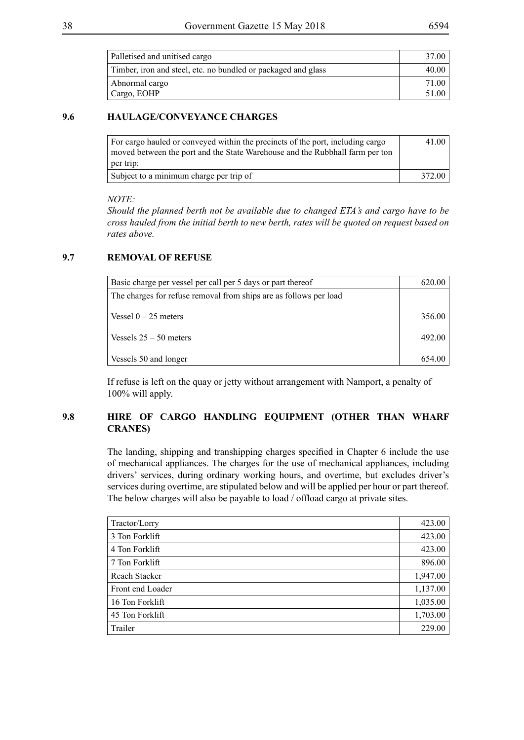| Palletised and unitised cargo                                 | 37.00 |
|---------------------------------------------------------------|-------|
| Timber, iron and steel, etc. no bundled or packaged and glass | 40.00 |
| Abnormal cargo                                                | 71.00 |
| Cargo, EOHP                                                   | 51.00 |

#### **9.6 HAULAGE/CONVEYANCE CHARGES**

| For cargo hauled or conveyed within the precincts of the port, including cargo<br>moved between the port and the State Warehouse and the Rubbhall farm per ton<br>per trip: | 41.00  |
|-----------------------------------------------------------------------------------------------------------------------------------------------------------------------------|--------|
| Subject to a minimum charge per trip of                                                                                                                                     | 372.00 |

#### *NOTE:*

*Should the planned berth not be available due to changed ETA's and cargo have to be cross hauled from the initial berth to new berth, rates will be quoted on request based on rates above.*

#### **9.7 REMOVAL OF REFUSE**

| Basic charge per vessel per call per 5 days or part thereof       | 620.00 |
|-------------------------------------------------------------------|--------|
| The charges for refuse removal from ships are as follows per load |        |
|                                                                   |        |
| Vessel $0 - 25$ meters                                            | 356.00 |
|                                                                   |        |
| Vessels $25 - 50$ meters                                          | 492.00 |
|                                                                   |        |
| Vessels 50 and longer                                             | 654.00 |

If refuse is left on the quay or jetty without arrangement with Namport, a penalty of 100% will apply.

#### **9.8 HIRE OF CARGO HANDLING EQUIPMENT (OTHER THAN WHARF CRANES)**

The landing, shipping and transhipping charges specified in Chapter 6 include the use of mechanical appliances. The charges for the use of mechanical appliances, including drivers' services, during ordinary working hours, and overtime, but excludes driver's services during overtime, are stipulated below and will be applied per hour or part thereof. The below charges will also be payable to load / offload cargo at private sites.

| Tractor/Lorry    | 423.00   |
|------------------|----------|
| 3 Ton Forklift   | 423.00   |
| 4 Ton Forklift   | 423.00   |
| 7 Ton Forklift   | 896.00   |
| Reach Stacker    | 1,947.00 |
| Front end Loader | 1,137.00 |
| 16 Ton Forklift  | 1,035.00 |
| 45 Ton Forklift  | 1,703.00 |
| Trailer          | 229.00   |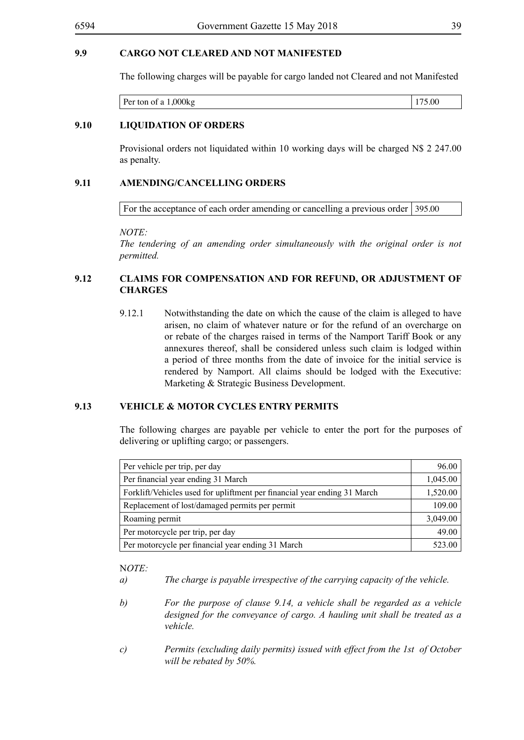The following charges will be payable for cargo landed not Cleared and not Manifested

#### **9.10 LIQUIDATION OF ORDERS**

Provisional orders not liquidated within 10 working days will be charged N\$ 2 247.00 as penalty.

#### **9.11 AMENDING/CANCELLING ORDERS**

For the acceptance of each order amending or cancelling a previous order  $\vert$  395.00

*NOTE:*

*The tendering of an amending order simultaneously with the original order is not permitted.*

#### **9.12 CLAIMS FOR COMPENSATION AND FOR REFUND, OR ADJUSTMENT OF CHARGES**

9.12.1 Notwithstanding the date on which the cause of the claim is alleged to have arisen, no claim of whatever nature or for the refund of an overcharge on or rebate of the charges raised in terms of the Namport Tariff Book or any annexures thereof, shall be considered unless such claim is lodged within a period of three months from the date of invoice for the initial service is rendered by Namport. All claims should be lodged with the Executive: Marketing & Strategic Business Development.

#### **9.13 VEHICLE & MOTOR CYCLES ENTRY PERMITS**

The following charges are payable per vehicle to enter the port for the purposes of delivering or uplifting cargo; or passengers.

| Per vehicle per trip, per day                                            | 96.00    |
|--------------------------------------------------------------------------|----------|
| Per financial year ending 31 March                                       | 1,045.00 |
| Forklift/Vehicles used for upliftment per financial year ending 31 March | 1,520.00 |
| Replacement of lost/damaged permits per permit                           | 109.00   |
| Roaming permit                                                           | 3,049.00 |
| Per motorcycle per trip, per day                                         | 49.00    |
| Per motorcycle per financial year ending 31 March                        | 523.00   |

- *a) The charge is payable irrespective of the carrying capacity of the vehicle.*
- *b) For the purpose of clause 9.14, a vehicle shall be regarded as a vehicle designed for the conveyance of cargo. A hauling unit shall be treated as a vehicle.*
- *c) Permits (excluding daily permits) issued with effect from the 1st of October will be rebated by 50%.*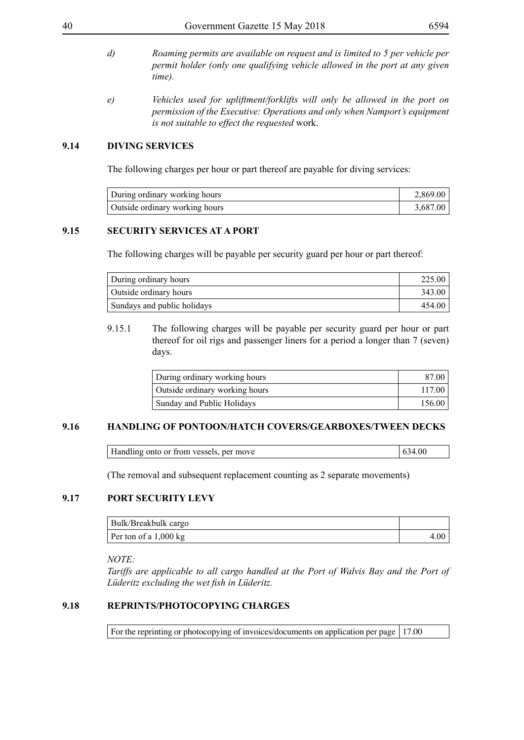- *d) Roaming permits are available on request and is limited to 5 per vehicle per permit holder (only one qualifying vehicle allowed in the port at any given time).*
- *e) Vehicles used for upliftment/forklifts will only be allowed in the port on permission of the Executive: Operations and only when Namport's equipment is not suitable to effect the requested* work.

#### **9.14 DIVING SERVICES**

The following charges per hour or part thereof are payable for diving services:

| During ordinary working hours  | 2,869.00 |
|--------------------------------|----------|
| Outside ordinary working hours | 3.687.00 |

#### **9.15 SECURITY SERVICES AT A PORT**

The following charges will be payable per security guard per hour or part thereof:

| During ordinary hours       | 225.00              |
|-----------------------------|---------------------|
| Outside ordinary hours      | 343.00 <sub>1</sub> |
| Sundays and public holidays | 454.00              |

9.15.1 The following charges will be payable per security guard per hour or part thereof for oil rigs and passenger liners for a period a longer than 7 (seven) days.

| During ordinary working hours  | 87.00  |
|--------------------------------|--------|
| Outside ordinary working hours | 117.00 |
| Sunday and Public Holidays     | 156.00 |

#### **9.16 HANDLING OF PONTOON/HATCH COVERS/GEARBOXES/TWEEN DECKS**

| Handling onto or from vessels, per move | 634.00 |
|-----------------------------------------|--------|
|                                         |        |

(The removal and subsequent replacement counting as 2 separate movements)

#### **9.17 PORT SECURITY LEVY**

| Bulk/Breakbulk cargo  |      |
|-----------------------|------|
| Per ton of a 1,000 kg | 4.00 |

#### *NOTE:*

*Tariffs are applicable to all cargo handled at the Port of Walvis Bay and the Port of Lüderitz excluding the wet fish in Lüderitz.*

#### **9.18 REPRINTS/PHOTOCOPYING CHARGES**

For the reprinting or photocopying of invoices/documents on application per page  $\vert$  17.00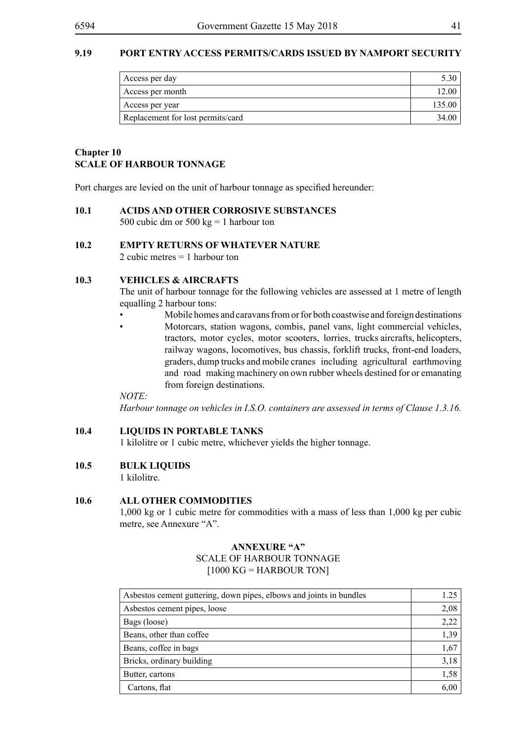#### **9.19 PORT ENTRY ACCESS PERMITS/CARDS ISSUED BY NAMPORT SECURITY**

| Access per day                    |        |
|-----------------------------------|--------|
| Access per month                  | 12.00  |
| Access per year                   | 135.00 |
| Replacement for lost permits/card | 34.00  |

#### **Chapter 10 SCALE OF HARBOUR TONNAGE**

Port charges are levied on the unit of harbour tonnage as specified hereunder:

#### **10.1 ACIDS AND OTHER CORROSIVE SUBSTANCES**

500 cubic dm or 500 kg = 1 harbour ton

#### **10.2 EMPTY RETURNS OF WHATEVER NATURE**

2 cubic metres = 1 harbour ton

#### **10.3 VEHICLES & AIRCRAFTS**

The unit of harbour tonnage for the following vehicles are assessed at 1 metre of length equalling 2 harbour tons:

- Mobile homes and caravans from or for both coastwise and foreign destinations • Motorcars, station wagons, combis, panel vans, light commercial vehicles,
	- tractors, motor cycles, motor scooters, lorries, trucks aircrafts, helicopters, railway wagons, locomotives, bus chassis, forklift trucks, front-end loaders, graders, dump trucks and mobile cranes including agricultural earthmoving and road making machinery on own rubber wheels destined for or emanating from foreign destinations.

*NOTE:*

*Harbour tonnage on vehicles in I.S.O. containers are assessed in terms of Clause 1.3.16.*

#### **10.4 LIQUIDS IN PORTABLE TANKS**

1 kilolitre or 1 cubic metre, whichever yields the higher tonnage.

#### **10.5 BULK LIQUIDS**

1 kilolitre.

#### **10.6 ALL OTHER COMMODITIES**

1,000 kg or 1 cubic metre for commodities with a mass of less than 1,000 kg per cubic metre, see Annexure "A".

#### **ANNEXURE "A"**

SCALE OF HARBOUR TONNAGE  $[1000 \text{ KG} = \text{HARBOUR} \text{ TON}]$ 

| Asbestos cement guttering, down pipes, elbows and joints in bundles | 1.25 |
|---------------------------------------------------------------------|------|
| Asbestos cement pipes, loose                                        | 2,08 |
| Bags (loose)                                                        | 2,22 |
| Beans, other than coffee                                            | 1,39 |
| Beans, coffee in bags                                               | 1,67 |
| Bricks, ordinary building                                           | 3,18 |
| Butter, cartons                                                     | 1,58 |
| Cartons, flat                                                       | 6,00 |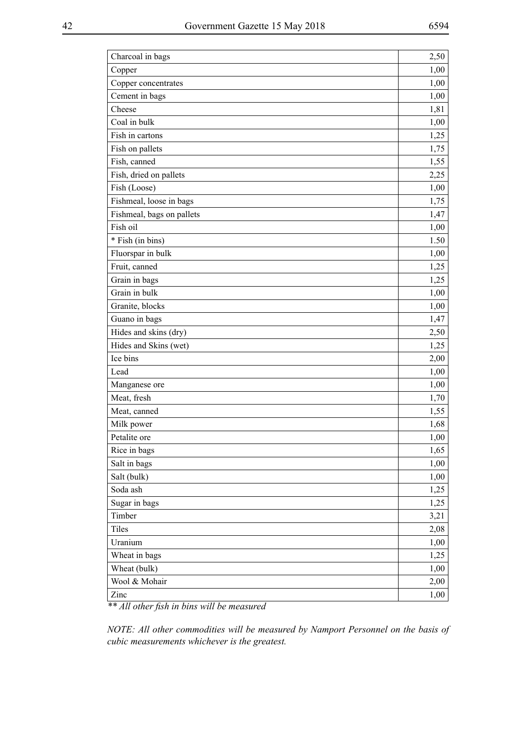| Charcoal in bags                             | 2,50 |
|----------------------------------------------|------|
| Copper                                       | 1,00 |
| Copper concentrates                          | 1,00 |
| Cement in bags                               | 1,00 |
| Cheese                                       | 1,81 |
| Coal in bulk                                 | 1,00 |
| Fish in cartons                              | 1,25 |
| Fish on pallets                              | 1,75 |
| Fish, canned                                 | 1,55 |
| Fish, dried on pallets                       | 2,25 |
| Fish (Loose)                                 | 1,00 |
| Fishmeal, loose in bags                      | 1,75 |
| Fishmeal, bags on pallets                    | 1,47 |
| Fish oil                                     | 1,00 |
| * Fish (in bins)                             | 1.50 |
| Fluorspar in bulk                            | 1,00 |
| Fruit, canned                                | 1,25 |
| Grain in bags                                | 1,25 |
| Grain in bulk                                | 1,00 |
| Granite, blocks                              | 1,00 |
| Guano in bags                                | 1,47 |
| Hides and skins (dry)                        | 2,50 |
| Hides and Skins (wet)                        | 1,25 |
| Ice bins                                     | 2,00 |
| Lead                                         | 1,00 |
| Manganese ore                                | 1,00 |
| Meat, fresh                                  | 1,70 |
| Meat, canned                                 | 1,55 |
| Milk power                                   | 1,68 |
| Petalite ore                                 | 1,00 |
| Rice in bags                                 | 1,65 |
| Salt in bags                                 | 1,00 |
| Salt (bulk)                                  | 1,00 |
| Soda ash                                     | 1,25 |
| Sugar in bags                                | 1,25 |
| Timber                                       | 3,21 |
| Tiles                                        | 2,08 |
| Uranium                                      | 1,00 |
| Wheat in bags                                | 1,25 |
| Wheat (bulk)                                 | 1,00 |
| Wool & Mohair                                | 2,00 |
| Zinc<br>عاد عاد<br>.111<br>r<br>$\mathbf{I}$ | 1,00 |

*\*\* All other fish in bins will be measured*

*NOTE: All other commodities will be measured by Namport Personnel on the basis of cubic measurements whichever is the greatest.*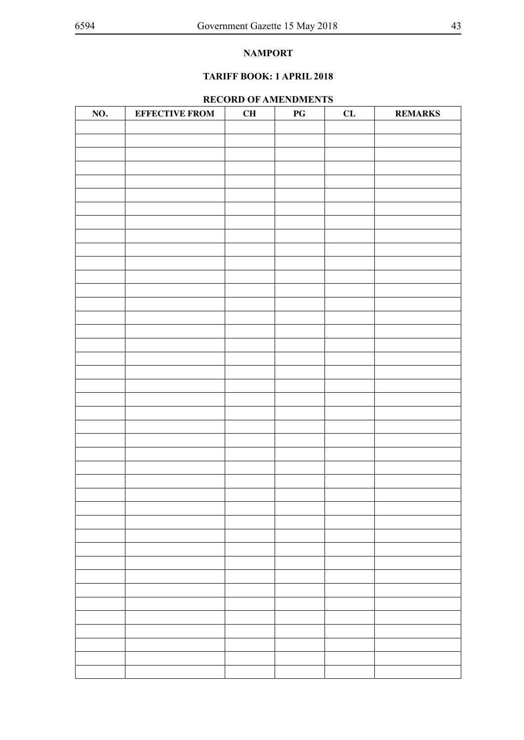### **TARIFF BOOK: 1 APRIL 2018**

#### **RECORD OF AMENDMENTS**

| NO. | <b>EFFECTIVE FROM</b> | CH | $\mathbf{P}\mathbf{G}$ | ${\bf CL}$ | <b>REMARKS</b> |
|-----|-----------------------|----|------------------------|------------|----------------|
|     |                       |    |                        |            |                |
|     |                       |    |                        |            |                |
|     |                       |    |                        |            |                |
|     |                       |    |                        |            |                |
|     |                       |    |                        |            |                |
|     |                       |    |                        |            |                |
|     |                       |    |                        |            |                |
|     |                       |    |                        |            |                |
|     |                       |    |                        |            |                |
|     |                       |    |                        |            |                |
|     |                       |    |                        |            |                |
|     |                       |    |                        |            |                |
|     |                       |    |                        |            |                |
|     |                       |    |                        |            |                |
|     |                       |    |                        |            |                |
|     |                       |    |                        |            |                |
|     |                       |    |                        |            |                |
|     |                       |    |                        |            |                |
|     |                       |    |                        |            |                |
|     |                       |    |                        |            |                |
|     |                       |    |                        |            |                |
|     |                       |    |                        |            |                |
|     |                       |    |                        |            |                |
|     |                       |    |                        |            |                |
|     |                       |    |                        |            |                |
|     |                       |    |                        |            |                |
|     |                       |    |                        |            |                |
|     |                       |    |                        |            |                |
|     |                       |    |                        |            |                |
|     |                       |    |                        |            |                |
|     |                       |    |                        |            |                |
|     |                       |    |                        |            |                |
|     |                       |    |                        |            |                |
|     |                       |    |                        |            |                |
|     |                       |    |                        |            |                |
|     |                       |    |                        |            |                |
|     |                       |    |                        |            |                |
|     |                       |    |                        |            |                |
|     |                       |    |                        |            |                |
|     |                       |    |                        |            |                |
|     |                       |    |                        |            |                |
|     |                       |    |                        |            |                |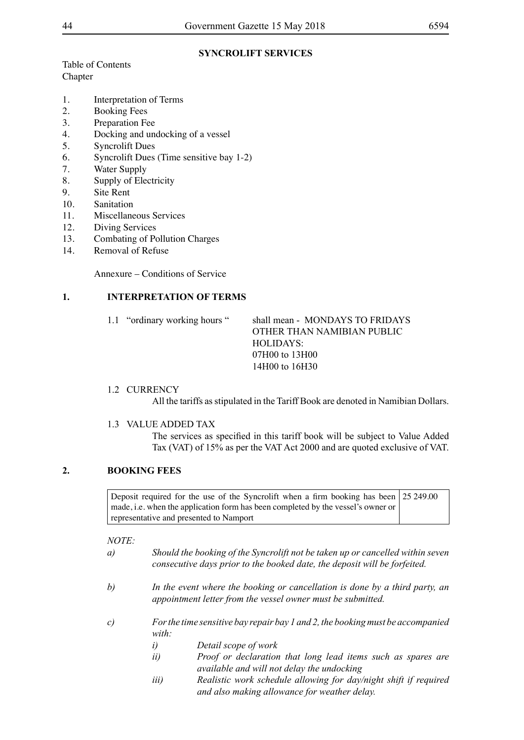#### **SYNCROLIFT SERVICES**

Table of Contents Chapter

- 1. Interpretation of Terms
- 2. Booking Fees
- 3. Preparation Fee
- 4. Docking and undocking of a vessel
- 5. Syncrolift Dues
- 6. Syncrolift Dues (Time sensitive bay 1-2)
- 7. Water Supply
- 8. Supply of Electricity
- 9. Site Rent
- 10. Sanitation
- 11. Miscellaneous Services
- 12. Diving Services
- 13. Combating of Pollution Charges
- 14. Removal of Refuse

Annexure – Conditions of Service

#### **1. INTERPRETATION OF TERMS**

#### 1.1 "ordinary working hours " shall mean - MONDAYS TO FRIDAYS OTHER THAN NAMIBIAN PUBLIC HOLIDAYS: 07H00 to 13H00 14H00 to 16H30

#### 1.2 CURRENCY

All the tariffs as stipulated in the Tariff Book are denoted in Namibian Dollars.

#### 1.3 VALUE ADDED TAX

The services as specified in this tariff book will be subject to Value Added Tax (VAT) of 15% as per the VAT Act 2000 and are quoted exclusive of VAT.

#### **2. BOOKING FEES**

Deposit required for the use of the Syncrolift when a firm booking has been made, i.e. when the application form has been completed by the vessel's owner or representative and presented to Namport 25 249.00

- *a) Should the booking of the Syncrolift not be taken up or cancelled within seven consecutive days prior to the booked date, the deposit will be forfeited.*
- *b) In the event where the booking or cancellation is done by a third party, an appointment letter from the vessel owner must be submitted.*
- *c) For the time sensitive bay repair bay 1 and 2, the booking must be accompanied with:*
	- *i) Detail scope of work*
	- *ii) Proof or declaration that long lead items such as spares are available and will not delay the undocking*
	- *iii) Realistic work schedule allowing for day/night shift if required and also making allowance for weather delay.*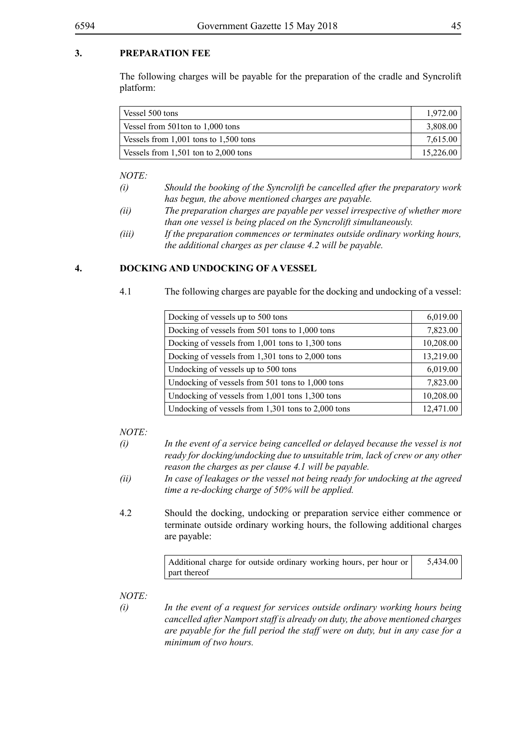#### **3. PREPARATION FEE**

The following charges will be payable for the preparation of the cradle and Syncrolift platform:

| Vessel 500 tons                           | 1.972.00  |
|-------------------------------------------|-----------|
| Vessel from 501ton to 1,000 tons          | 3,808.00  |
| Vessels from $1,001$ tons to $1,500$ tons | 7,615.00  |
| Vessels from $1,501$ ton to $2,000$ tons  | 15,226.00 |

*NOTE:*

- *(i) Should the booking of the Syncrolift be cancelled after the preparatory work has begun, the above mentioned charges are payable.*
- *(ii) The preparation charges are payable per vessel irrespective of whether more than one vessel is being placed on the Syncrolift simultaneously.*
- *(iii) If the preparation commences or terminates outside ordinary working hours, the additional charges as per clause 4.2 will be payable.*

#### **4. DOCKING AND UNDOCKING OF A VESSEL**

4.1 The following charges are payable for the docking and undocking of a vessel:

| Docking of vessels up to 500 tons                    | 6,019.00  |
|------------------------------------------------------|-----------|
| Docking of vessels from 501 tons to 1,000 tons       | 7,823.00  |
| Docking of vessels from $1,001$ tons to $1,300$ tons | 10,208.00 |
| Docking of vessels from 1,301 tons to 2,000 tons     | 13,219.00 |
| Undocking of vessels up to 500 tons                  | 6,019.00  |
| Undocking of vessels from 501 tons to 1,000 tons     | 7,823.00  |
| Undocking of vessels from 1,001 tons 1,300 tons      | 10,208.00 |
| Undocking of vessels from 1,301 tons to 2,000 tons   | 12,471.00 |

#### *NOTE:*

- *(i) In the event of a service being cancelled or delayed because the vessel is not ready for docking/undocking due to unsuitable trim, lack of crew or any other reason the charges as per clause 4.1 will be payable.*
- *(ii) In case of leakages or the vessel not being ready for undocking at the agreed time a re-docking charge of 50% will be applied.*
- 4.2 Should the docking, undocking or preparation service either commence or terminate outside ordinary working hours, the following additional charges are payable:

| Additional charge for outside ordinary working hours, per hour or | 5,434.00 |
|-------------------------------------------------------------------|----------|
| part thereof                                                      |          |

- 
- *(i) In the event of a request for services outside ordinary working hours being cancelled after Namport staff is already on duty, the above mentioned charges are payable for the full period the staff were on duty, but in any case for a minimum of two hours.*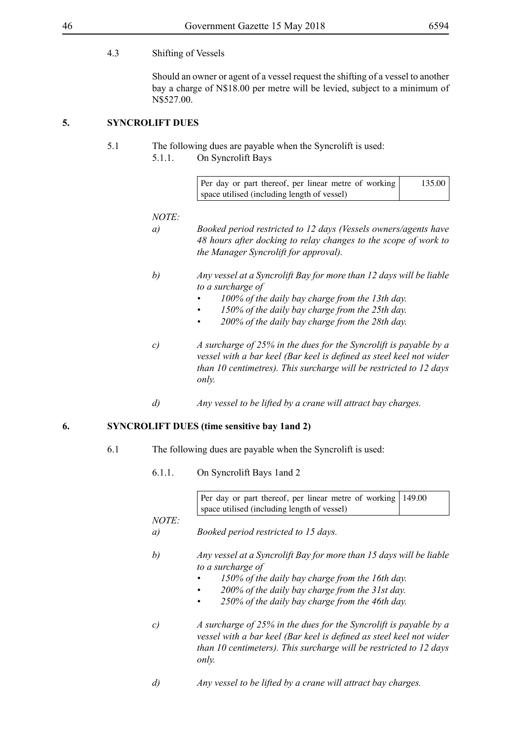#### 4.3 Shifting of Vessels

Should an owner or agent of a vessel request the shifting of a vessel to another bay a charge of N\$18.00 per metre will be levied, subject to a minimum of N\$527.00.

#### **5. SYNCROLIFT DUES**

5.1 The following dues are payable when the Syncrolift is used: 5.1.1. On Syncrolift Bays

| Per day or part thereof, per linear metre of working | 135.00 |
|------------------------------------------------------|--------|
| space utilised (including length of vessel)          |        |

#### *NOTE:*

- *a) Booked period restricted to 12 days (Vessels owners/agents have 48 hours after docking to relay changes to the scope of work to the Manager Syncrolift for approval).*
- *b) Any vessel at a Syncrolift Bay for more than 12 days will be liable to a surcharge of*
	- *• 100% of the daily bay charge from the 13th day.*
	- *• 150% of the daily bay charge from the 25th day.*
	- *• 200% of the daily bay charge from the 28th day.*
- *c) A surcharge of 25% in the dues for the Syncrolift is payable by a vessel with a bar keel (Bar keel is defined as steel keel not wider than 10 centimetres). This surcharge will be restricted to 12 days only.*
- *d) Any vessel to be lifted by a crane will attract bay charges.*

#### **6. SYNCROLIFT DUES (time sensitive bay 1and 2)**

- 6.1 The following dues are payable when the Syncrolift is used:
	- 6.1.1. On Syncrolift Bays 1and 2

Per day or part thereof, per linear metre of working space utilised (including length of vessel) 149.00

- *a) Booked period restricted to 15 days.*
- *b) Any vessel at a Syncrolift Bay for more than 15 days will be liable to a surcharge of*
	- *• 150% of the daily bay charge from the 16th day.*
	- *• 200% of the daily bay charge from the 31st day.*
	- *• 250% of the daily bay charge from the 46th day.*
- *c) A surcharge of 25% in the dues for the Syncrolift is payable by a*  vessel with a bar keel (Bar keel is defined as steel keel not wider *than 10 centimeters). This surcharge will be restricted to 12 days only.*
- *d) Any vessel to be lifted by a crane will attract bay charges.*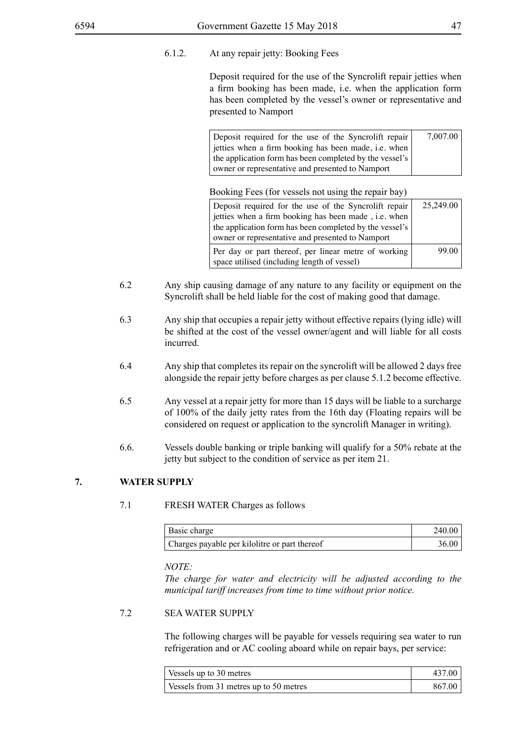6.1.2. At any repair jetty: Booking Fees

Deposit required for the use of the Syncrolift repair jetties when a firm booking has been made, i.e. when the application form has been completed by the vessel's owner or representative and presented to Namport

| Deposit required for the use of the Syncrolift repair       | 7,007.00 |
|-------------------------------------------------------------|----------|
| jetties when a firm booking has been made, <i>i.e.</i> when |          |
| the application form has been completed by the vessel's     |          |
| owner or representative and presented to Namport            |          |

Booking Fees (for vessels not using the repair bay)

| Deposit required for the use of the Syncrolift repair   | 25,249.00 |
|---------------------------------------------------------|-----------|
| jetties when a firm booking has been made, i.e. when    |           |
| the application form has been completed by the vessel's |           |
| owner or representative and presented to Namport        |           |
| Per day or part thereof, per linear metre of working    | 99.00     |
| space utilised (including length of vessel)             |           |

- 6.2 Any ship causing damage of any nature to any facility or equipment on the Syncrolift shall be held liable for the cost of making good that damage.
- 6.3 Any ship that occupies a repair jetty without effective repairs (lying idle) will be shifted at the cost of the vessel owner/agent and will liable for all costs incurred.
- 6.4 Any ship that completes its repair on the syncrolift will be allowed 2 days free alongside the repair jetty before charges as per clause 5.1.2 become effective.
- 6.5 Any vessel at a repair jetty for more than 15 days will be liable to a surcharge of 100% of the daily jetty rates from the 16th day (Floating repairs will be considered on request or application to the syncrolift Manager in writing).
- 6.6. Vessels double banking or triple banking will qualify for a 50% rebate at the jetty but subject to the condition of service as per item 21.

#### **7. WATER SUPPLY**

#### 7.1 FRESH WATER Charges as follows

| Basic charge                                  | 240.00 |
|-----------------------------------------------|--------|
| Charges payable per kilolitre or part thereof | 36.00  |

*NOTE:*

*The charge for water and electricity will be adjusted according to the municipal tariff increases from time to time without prior notice.*

#### 7.2 SEA WATER SUPPLY

The following charges will be payable for vessels requiring sea water to run refrigeration and or AC cooling aboard while on repair bays, per service:

| Vessels up to 30 metres                | 437.00 |
|----------------------------------------|--------|
| Vessels from 31 metres up to 50 metres | 867.00 |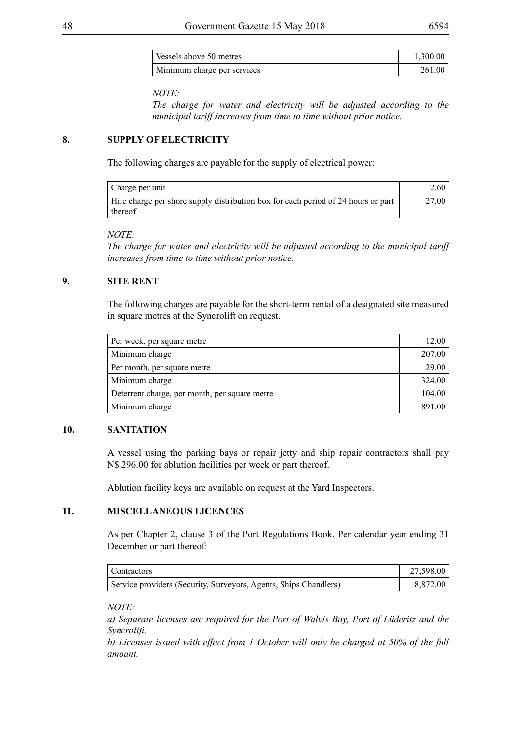| Vessels above 50 metres     | 1.300.00 |
|-----------------------------|----------|
| Minimum charge per services | 261.00   |

#### *NOTE:*

*The charge for water and electricity will be adjusted according to the municipal tariff increases from time to time without prior notice.*

#### **8. SUPPLY OF ELECTRICITY**

The following charges are payable for the supply of electrical power:

| Charge per unit                                                                              | 2.60  |
|----------------------------------------------------------------------------------------------|-------|
| Hire charge per shore supply distribution box for each period of 24 hours or part<br>thereof | 27.00 |

#### *NOTE:*

*The charge for water and electricity will be adjusted according to the municipal tariff increases from time to time without prior notice.*

#### **9. SITE RENT**

The following charges are payable for the short-term rental of a designated site measured in square metres at the Syncrolift on request.

| Per week, per square metre                    |        |
|-----------------------------------------------|--------|
| Minimum charge                                | 207.00 |
| Per month, per square metre                   | 29.00  |
| Minimum charge                                | 324.00 |
| Deterrent charge, per month, per square metre |        |
| Minimum charge                                |        |

#### **10. SANITATION**

A vessel using the parking bays or repair jetty and ship repair contractors shall pay N\$ 296.00 for ablution facilities per week or part thereof.

Ablution facility keys are available on request at the Yard Inspectors.

#### **11. MISCELLANEOUS LICENCES**

As per Chapter 2, clause 3 of the Port Regulations Book. Per calendar year ending 31 December or part thereof:

| <sup>1</sup> Contractors                                         | 27,598.00 |
|------------------------------------------------------------------|-----------|
| Service providers (Security, Surveyors, Agents, Ships Chandlers) | 8.872.00  |

*NOTE:*

*a) Separate licenses are required for the Port of Walvis Bay, Port of Lüderitz and the Syncrolift.* 

*b) Licenses issued with effect from 1 October will only be charged at 50% of the full amount.*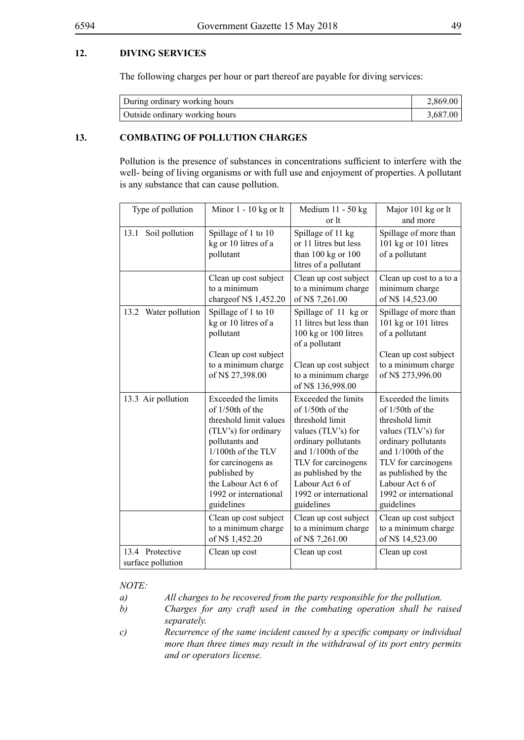#### **12. DIVING SERVICES**

The following charges per hour or part thereof are payable for diving services:

| During ordinary working hours  | 2.869.00 |
|--------------------------------|----------|
| Outside ordinary working hours | 3,687.00 |

#### **13. COMBATING OF POLLUTION CHARGES**

Pollution is the presence of substances in concentrations sufficient to interfere with the well- being of living organisms or with full use and enjoyment of properties. A pollutant is any substance that can cause pollution.

| Type of pollution                    | Minor $1 - 10$ kg or lt                                                                                                                                                                                                                                                               | Medium 11 - 50 kg<br>or lt                                                                                                                                                                                                                                                            | Major 101 kg or lt<br>and more                                                                                                                                                                                                                                                        |
|--------------------------------------|---------------------------------------------------------------------------------------------------------------------------------------------------------------------------------------------------------------------------------------------------------------------------------------|---------------------------------------------------------------------------------------------------------------------------------------------------------------------------------------------------------------------------------------------------------------------------------------|---------------------------------------------------------------------------------------------------------------------------------------------------------------------------------------------------------------------------------------------------------------------------------------|
| Soil pollution<br>13.1               | Spillage of 1 to 10<br>kg or 10 litres of a<br>pollutant                                                                                                                                                                                                                              | Spillage of 11 kg<br>or 11 litres but less<br>than $100$ kg or $100$<br>litres of a pollutant                                                                                                                                                                                         | Spillage of more than<br>101 kg or 101 litres<br>of a pollutant                                                                                                                                                                                                                       |
|                                      | Clean up cost subject<br>to a minimum<br>charge of N\$ 1,452.20                                                                                                                                                                                                                       | Clean up cost subject<br>to a minimum charge<br>of N\$ 7,261.00                                                                                                                                                                                                                       | Clean up cost to a to a<br>minimum charge<br>of N\$ 14,523.00                                                                                                                                                                                                                         |
| Water pollution<br>13.2              | Spillage of 1 to 10<br>kg or 10 litres of a<br>pollutant<br>Clean up cost subject<br>to a minimum charge<br>of N\$ 27,398.00                                                                                                                                                          | Spillage of 11 kg or<br>11 litres but less than<br>100 kg or 100 litres<br>of a pollutant<br>Clean up cost subject<br>to a minimum charge<br>of N\$ 136,998.00                                                                                                                        | Spillage of more than<br>101 kg or 101 litres<br>of a pollutant<br>Clean up cost subject<br>to a minimum charge<br>of N\$ 273,996.00                                                                                                                                                  |
| 13.3 Air pollution                   | Exceeded the limits<br>of 1/50th of the<br>threshold limit values<br>(TLV's) for ordinary<br>pollutants and<br>1/100th of the TLV<br>for carcinogens as<br>published by<br>the Labour Act 6 of<br>1992 or international<br>guidelines<br>Clean up cost subject<br>to a minimum charge | Exceeded the limits<br>of 1/50th of the<br>threshold limit<br>values (TLV's) for<br>ordinary pollutants<br>and 1/100th of the<br>TLV for carcinogens<br>as published by the<br>Labour Act 6 of<br>1992 or international<br>guidelines<br>Clean up cost subject<br>to a minimum charge | Exceeded the limits<br>of 1/50th of the<br>threshold limit<br>values (TLV's) for<br>ordinary pollutants<br>and 1/100th of the<br>TLV for carcinogens<br>as published by the<br>Labour Act 6 of<br>1992 or international<br>guidelines<br>Clean up cost subject<br>to a minimum charge |
|                                      | of N\$ 1,452.20                                                                                                                                                                                                                                                                       | of N\$ 7,261.00                                                                                                                                                                                                                                                                       | of N\$ 14,523.00                                                                                                                                                                                                                                                                      |
| 13.4 Protective<br>surface pollution | Clean up cost                                                                                                                                                                                                                                                                         | Clean up cost                                                                                                                                                                                                                                                                         | Clean up cost                                                                                                                                                                                                                                                                         |

#### *NOTE:*

*a) All charges to be recovered from the party responsible for the pollution.*

- *b) Charges for any craft used in the combating operation shall be raised separately.*
- *c) Recurrence of the same incident caused by a specific company or individual more than three times may result in the withdrawal of its port entry permits and or operators license.*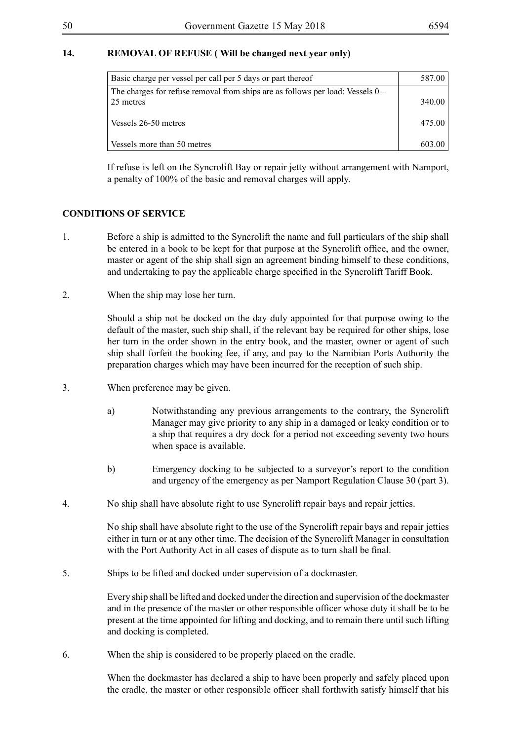#### **14. REMOVAL OF REFUSE ( Will be changed next year only)**

| Basic charge per vessel per call per 5 days or part thereof                                   | 587.00 |
|-----------------------------------------------------------------------------------------------|--------|
| The charges for refuse removal from ships are as follows per load: Vessels $0 -$<br>25 metres | 340.00 |
| Vessels 26-50 metres                                                                          | 475.00 |
| Vessels more than 50 metres                                                                   | 603.00 |

If refuse is left on the Syncrolift Bay or repair jetty without arrangement with Namport, a penalty of 100% of the basic and removal charges will apply.

#### **CONDITIONS OF SERVICE**

- 1. Before a ship is admitted to the Syncrolift the name and full particulars of the ship shall be entered in a book to be kept for that purpose at the Syncrolift office, and the owner, master or agent of the ship shall sign an agreement binding himself to these conditions, and undertaking to pay the applicable charge specified in the Syncrolift Tariff Book.
- 2. When the ship may lose her turn.

Should a ship not be docked on the day duly appointed for that purpose owing to the default of the master, such ship shall, if the relevant bay be required for other ships, lose her turn in the order shown in the entry book, and the master, owner or agent of such ship shall forfeit the booking fee, if any, and pay to the Namibian Ports Authority the preparation charges which may have been incurred for the reception of such ship.

- 3. When preference may be given.
	- a) Notwithstanding any previous arrangements to the contrary, the Syncrolift Manager may give priority to any ship in a damaged or leaky condition or to a ship that requires a dry dock for a period not exceeding seventy two hours when space is available.
	- b) Emergency docking to be subjected to a surveyor's report to the condition and urgency of the emergency as per Namport Regulation Clause 30 (part 3).
- 4. No ship shall have absolute right to use Syncrolift repair bays and repair jetties.

No ship shall have absolute right to the use of the Syncrolift repair bays and repair jetties either in turn or at any other time. The decision of the Syncrolift Manager in consultation with the Port Authority Act in all cases of dispute as to turn shall be final.

5. Ships to be lifted and docked under supervision of a dockmaster.

Every ship shall be lifted and docked under the direction and supervision of the dockmaster and in the presence of the master or other responsible officer whose duty it shall be to be present at the time appointed for lifting and docking, and to remain there until such lifting and docking is completed.

6. When the ship is considered to be properly placed on the cradle.

When the dockmaster has declared a ship to have been properly and safely placed upon the cradle, the master or other responsible officer shall forthwith satisfy himself that his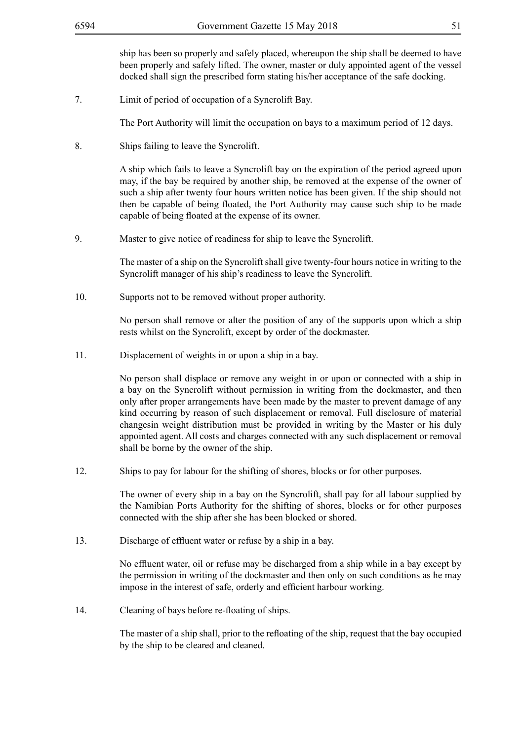ship has been so properly and safely placed, whereupon the ship shall be deemed to have been properly and safely lifted. The owner, master or duly appointed agent of the vessel docked shall sign the prescribed form stating his/her acceptance of the safe docking.

7. Limit of period of occupation of a Syncrolift Bay.

The Port Authority will limit the occupation on bays to a maximum period of 12 days.

8. Ships failing to leave the Syncrolift.

A ship which fails to leave a Syncrolift bay on the expiration of the period agreed upon may, if the bay be required by another ship, be removed at the expense of the owner of such a ship after twenty four hours written notice has been given. If the ship should not then be capable of being floated, the Port Authority may cause such ship to be made capable of being floated at the expense of its owner.

9. Master to give notice of readiness for ship to leave the Syncrolift.

The master of a ship on the Syncrolift shall give twenty-four hours notice in writing to the Syncrolift manager of his ship's readiness to leave the Syncrolift.

10. Supports not to be removed without proper authority.

No person shall remove or alter the position of any of the supports upon which a ship rests whilst on the Syncrolift, except by order of the dockmaster.

11. Displacement of weights in or upon a ship in a bay.

No person shall displace or remove any weight in or upon or connected with a ship in a bay on the Syncrolift without permission in writing from the dockmaster, and then only after proper arrangements have been made by the master to prevent damage of any kind occurring by reason of such displacement or removal. Full disclosure of material changesin weight distribution must be provided in writing by the Master or his duly appointed agent. All costs and charges connected with any such displacement or removal shall be borne by the owner of the ship.

12. Ships to pay for labour for the shifting of shores, blocks or for other purposes.

The owner of every ship in a bay on the Syncrolift, shall pay for all labour supplied by the Namibian Ports Authority for the shifting of shores, blocks or for other purposes connected with the ship after she has been blocked or shored.

13. Discharge of effluent water or refuse by a ship in a bay.

No effluent water, oil or refuse may be discharged from a ship while in a bay except by the permission in writing of the dockmaster and then only on such conditions as he may impose in the interest of safe, orderly and efficient harbour working.

14. Cleaning of bays before re-floating of ships.

The master of a ship shall, prior to the refloating of the ship, request that the bay occupied by the ship to be cleared and cleaned.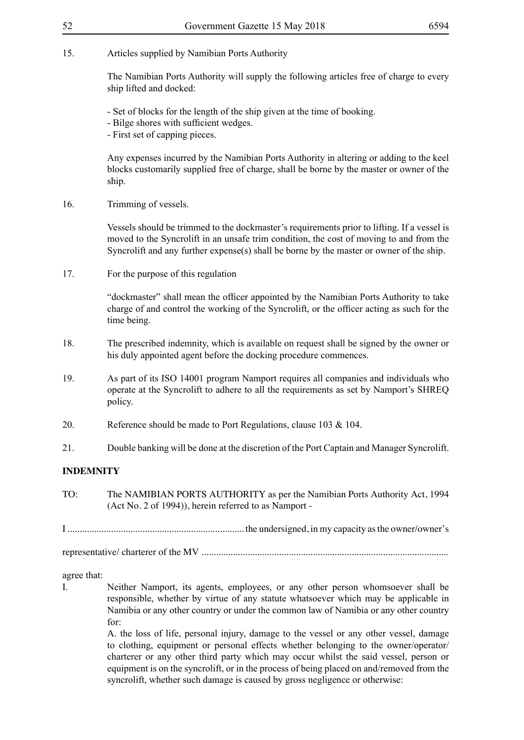#### 15. Articles supplied by Namibian Ports Authority

The Namibian Ports Authority will supply the following articles free of charge to every ship lifted and docked:

- Set of blocks for the length of the ship given at the time of booking.

- Bilge shores with sufficient wedges.

- First set of capping pieces.

Any expenses incurred by the Namibian Ports Authority in altering or adding to the keel blocks customarily supplied free of charge, shall be borne by the master or owner of the ship.

16. Trimming of vessels.

Vessels should be trimmed to the dockmaster's requirements prior to lifting. If a vessel is moved to the Syncrolift in an unsafe trim condition, the cost of moving to and from the Syncrolift and any further expense(s) shall be borne by the master or owner of the ship.

17. For the purpose of this regulation

"dockmaster" shall mean the officer appointed by the Namibian Ports Authority to take charge of and control the working of the Syncrolift, or the officer acting as such for the time being.

- 18. The prescribed indemnity, which is available on request shall be signed by the owner or his duly appointed agent before the docking procedure commences.
- 19. As part of its ISO 14001 program Namport requires all companies and individuals who operate at the Syncrolift to adhere to all the requirements as set by Namport's SHREQ policy.
- 20. Reference should be made to Port Regulations, clause 103 & 104.
- 21. Double banking will be done at the discretion of the Port Captain and Manager Syncrolift.

#### **INDEMNITY**

TO: The NAMIBIAN PORTS AUTHORITY as per the Namibian Ports Authority Act, 1994 (Act No. 2 of 1994)), herein referred to as Namport -

I ......................................................................... the undersigned, in my capacity as the owner/owner's

representative/ charterer of the MV ......................................................................................................

agree that:

I. Neither Namport, its agents, employees, or any other person whomsoever shall be responsible, whether by virtue of any statute whatsoever which may be applicable in Namibia or any other country or under the common law of Namibia or any other country for:

> A. the loss of life, personal injury, damage to the vessel or any other vessel, damage to clothing, equipment or personal effects whether belonging to the owner/operator/ charterer or any other third party which may occur whilst the said vessel, person or equipment is on the syncrolift, or in the process of being placed on and/removed from the syncrolift, whether such damage is caused by gross negligence or otherwise: